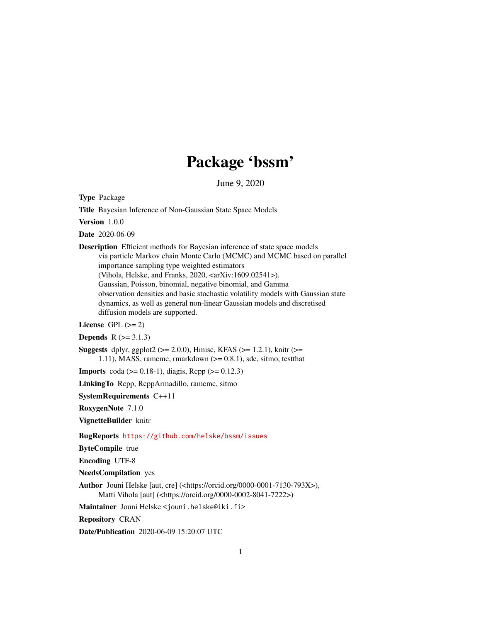# Package 'bssm'

June 9, 2020

<span id="page-0-0"></span>Type Package

Title Bayesian Inference of Non-Gaussian State Space Models

Version 1.0.0

Date 2020-06-09

Description Efficient methods for Bayesian inference of state space models via particle Markov chain Monte Carlo (MCMC) and MCMC based on parallel importance sampling type weighted estimators (Vihola, Helske, and Franks, 2020, <arXiv:1609.02541>). Gaussian, Poisson, binomial, negative binomial, and Gamma observation densities and basic stochastic volatility models with Gaussian state dynamics, as well as general non-linear Gaussian models and discretised

diffusion models are supported.

License GPL  $(>= 2)$ 

**Depends**  $R$  ( $> = 3.1.3$ )

Suggests dplyr, ggplot2 ( $>= 2.0.0$ ), Hmisc, KFAS ( $>= 1.2.1$ ), knitr ( $>=$ 1.11), MASS, ramcmc, rmarkdown (>= 0.8.1), sde, sitmo, testthat

**Imports** coda ( $> = 0.18-1$ ), diagis, Rcpp ( $>= 0.12.3$ )

LinkingTo Rcpp, RcppArmadillo, ramcmc, sitmo

SystemRequirements C++11

RoxygenNote 7.1.0

VignetteBuilder knitr

BugReports <https://github.com/helske/bssm/issues>

ByteCompile true

Encoding UTF-8

NeedsCompilation yes

Author Jouni Helske [aut, cre] (<https://orcid.org/0000-0001-7130-793X>), Matti Vihola [aut] (<https://orcid.org/0000-0002-8041-7222>)

Maintainer Jouni Helske <jouni.helske@iki.fi>

Repository CRAN

Date/Publication 2020-06-09 15:20:07 UTC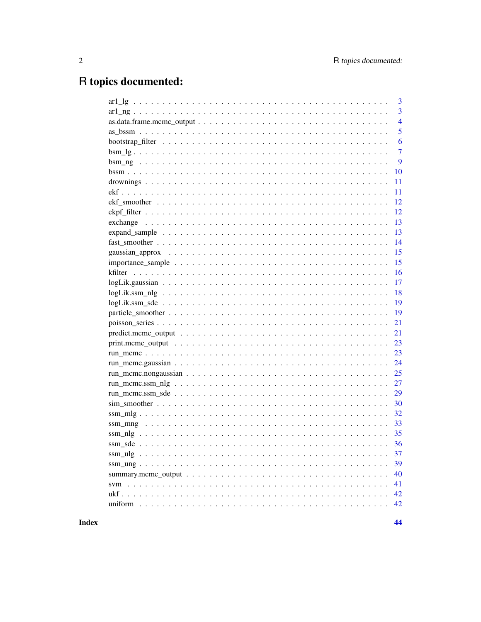# R topics documented:

|                                                                                                                        | 3              |
|------------------------------------------------------------------------------------------------------------------------|----------------|
|                                                                                                                        | $\overline{3}$ |
| $as.data-frame.mcmc\_output \dots \dots \dots \dots \dots \dots \dots \dots \dots \dots \dots \dots \dots \dots \dots$ | $\overline{4}$ |
|                                                                                                                        | 5              |
|                                                                                                                        | 6              |
| $bsm_ig$                                                                                                               | $\overline{7}$ |
|                                                                                                                        | 9              |
|                                                                                                                        | 10             |
|                                                                                                                        | 11             |
|                                                                                                                        | 11             |
|                                                                                                                        | 12             |
|                                                                                                                        | 12             |
|                                                                                                                        | 13             |
|                                                                                                                        | 13             |
|                                                                                                                        | 14             |
|                                                                                                                        | 15             |
|                                                                                                                        | 15             |
|                                                                                                                        | 16             |
|                                                                                                                        | 17             |
|                                                                                                                        | 18             |
|                                                                                                                        | 19             |
|                                                                                                                        | 19             |
|                                                                                                                        | 21             |
|                                                                                                                        | 21             |
|                                                                                                                        | 23             |
|                                                                                                                        | 23             |
|                                                                                                                        | 24             |
|                                                                                                                        | 25             |
|                                                                                                                        | 27             |
|                                                                                                                        | 29             |
|                                                                                                                        |                |
|                                                                                                                        | 32             |
|                                                                                                                        | 33             |
|                                                                                                                        |                |
|                                                                                                                        |                |
|                                                                                                                        | 37             |
|                                                                                                                        | 39             |
| summary.mcmc_output $\ldots \ldots \ldots \ldots \ldots \ldots \ldots \ldots \ldots \ldots \ldots \ldots \ldots$       | 40             |
|                                                                                                                        | 41             |
|                                                                                                                        | 42             |
|                                                                                                                        | 42             |
|                                                                                                                        |                |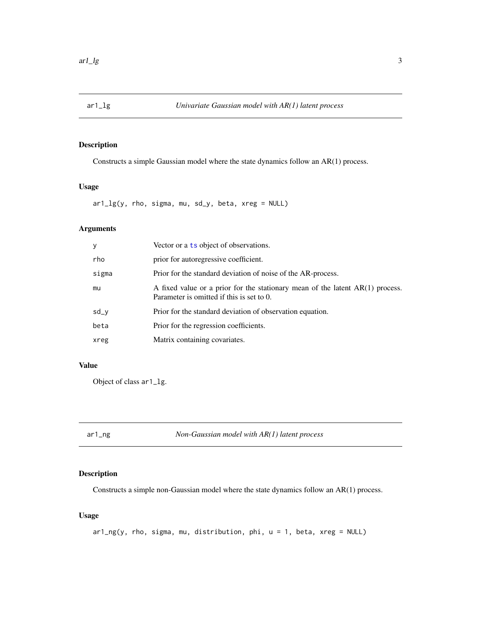<span id="page-2-0"></span>

## Description

Constructs a simple Gaussian model where the state dynamics follow an AR(1) process.

#### Usage

 $ar1_{2}g(y, rho, sigma, mu, sd_{y}, beta, xreg = NULL)$ 

## Arguments

| у     | Vector or a ts object of observations.                                                                                       |
|-------|------------------------------------------------------------------------------------------------------------------------------|
| rho   | prior for autoregressive coefficient.                                                                                        |
| sigma | Prior for the standard deviation of noise of the AR-process.                                                                 |
| mu    | A fixed value or a prior for the stationary mean of the latent $AR(1)$ process.<br>Parameter is omitted if this is set to 0. |
| sd_y  | Prior for the standard deviation of observation equation.                                                                    |
| beta  | Prior for the regression coefficients.                                                                                       |
| xreg  | Matrix containing covariates.                                                                                                |

## Value

Object of class ar1\_lg.

ar1\_ng *Non-Gaussian model with AR(1) latent process*

## Description

Constructs a simple non-Gaussian model where the state dynamics follow an AR(1) process.

## Usage

ar1\_ng(y, rho, sigma, mu, distribution, phi, u = 1, beta, xreg = NULL)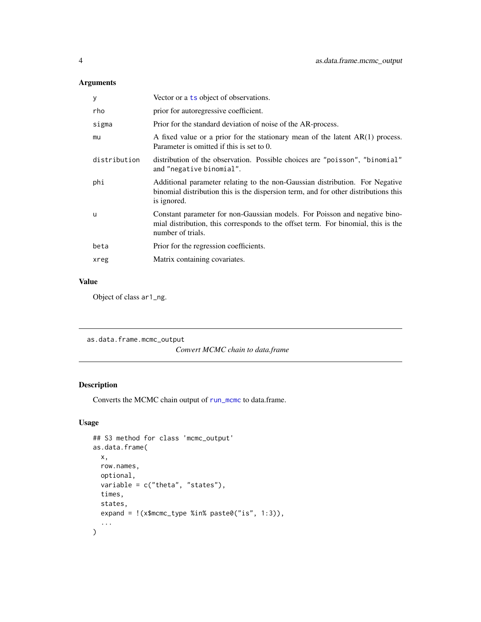## <span id="page-3-0"></span>Arguments

| У            | Vector or a ts object of observations.                                                                                                                                               |  |  |
|--------------|--------------------------------------------------------------------------------------------------------------------------------------------------------------------------------------|--|--|
| rho          | prior for autoregressive coefficient.                                                                                                                                                |  |  |
| sigma        | Prior for the standard deviation of noise of the AR-process.                                                                                                                         |  |  |
| mu           | A fixed value or a prior for the stationary mean of the latent $AR(1)$ process.<br>Parameter is omitted if this is set to 0.                                                         |  |  |
| distribution | distribution of the observation. Possible choices are "poisson", "binomial"<br>and "negative binomial".                                                                              |  |  |
| phi          | Additional parameter relating to the non-Gaussian distribution. For Negative<br>binomial distribution this is the dispersion term, and for other distributions this<br>is ignored.   |  |  |
| u            | Constant parameter for non-Gaussian models. For Poisson and negative bino-<br>mial distribution, this corresponds to the offset term. For binomial, this is the<br>number of trials. |  |  |
| beta         | Prior for the regression coefficients.                                                                                                                                               |  |  |
| xreg         | Matrix containing covariates.                                                                                                                                                        |  |  |
|              |                                                                                                                                                                                      |  |  |

#### Value

Object of class ar1\_ng.

```
as.data.frame.mcmc_output
                        Convert MCMC chain to data.frame
```
## Description

Converts the MCMC chain output of [run\\_mcmc](#page-22-1) to data.frame.

```
## S3 method for class 'mcmc_output'
as.data.frame(
  x,
  row.names,
  optional,
  variable = c("theta", "states"),
  times,
  states,
  expand = !(x$mcmc_type %in% paste0("is", 1:3)),
  ...
\overline{\phantom{a}}
```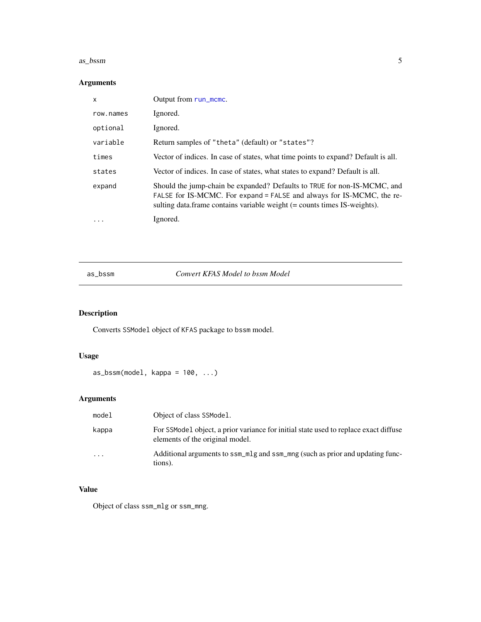#### <span id="page-4-0"></span>as\_bssm 5

## Arguments

| X         | Output from run_mcmc.                                                                                                                                                                                                         |
|-----------|-------------------------------------------------------------------------------------------------------------------------------------------------------------------------------------------------------------------------------|
| row.names | Ignored.                                                                                                                                                                                                                      |
| optional  | Ignored.                                                                                                                                                                                                                      |
| variable  | Return samples of "theta" (default) or "states"?                                                                                                                                                                              |
| times     | Vector of indices. In case of states, what time points to expand? Default is all.                                                                                                                                             |
| states    | Vector of indices. In case of states, what states to expand? Default is all.                                                                                                                                                  |
| expand    | Should the jump-chain be expanded? Defaults to TRUE for non-IS-MCMC, and<br>FALSE for IS-MCMC. For expand = FALSE and always for IS-MCMC, the re-<br>sulting data.frame contains variable weight (= counts times IS-weights). |
| $\ddotsc$ | Ignored.                                                                                                                                                                                                                      |

as\_bssm *Convert KFAS Model to bssm Model*

## Description

Converts SSModel object of KFAS package to bssm model.

## Usage

 $as_bssm(model, kappa = 100, ...)$ 

## Arguments

| model                   | Object of class SSModel.                                                                                                |
|-------------------------|-------------------------------------------------------------------------------------------------------------------------|
| kappa                   | For SSModel object, a prior variance for initial state used to replace exact diffuse<br>elements of the original model. |
| $\cdot$ $\cdot$ $\cdot$ | Additional arguments to ssm_mlg and ssm_mng (such as prior and updating func-<br>tions).                                |

## Value

Object of class ssm\_mlg or ssm\_mng.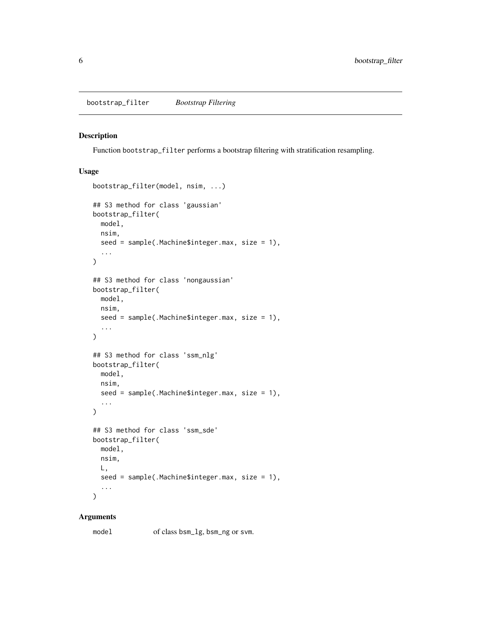#### <span id="page-5-1"></span><span id="page-5-0"></span>Description

Function bootstrap\_filter performs a bootstrap filtering with stratification resampling.

## Usage

```
bootstrap_filter(model, nsim, ...)
## S3 method for class 'gaussian'
bootstrap_filter(
 model,
 nsim,
  seed = sample(.Machine$integer.max, size = 1),
  ...
\lambda## S3 method for class 'nongaussian'
bootstrap_filter(
 model,
 nsim,
  seed = sample(.Machine$integer.max, size = 1),
  ...
\mathcal{L}## S3 method for class 'ssm_nlg'
bootstrap_filter(
 model,
 nsim,
  seed = sample(.Machine$integer.max, size = 1),
  ...
\mathcal{E}## S3 method for class 'ssm_sde'
bootstrap_filter(
 model,
 nsim,
 L,
  seed = sample(.Machine$integer.max, size = 1),
  ...
)
```
#### Arguments

model of class bsm\_lg, bsm\_ng or svm.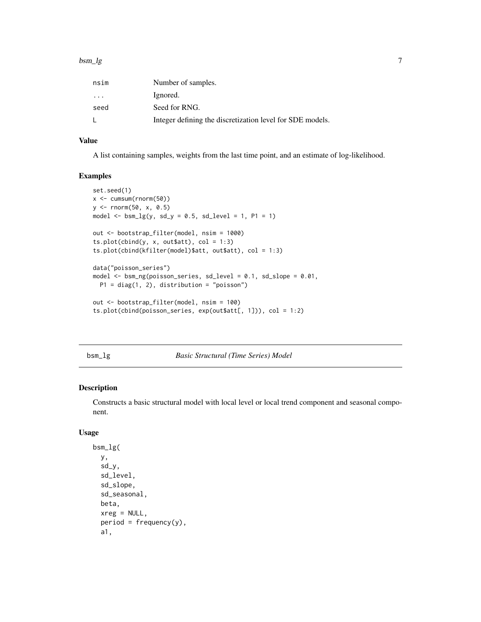<span id="page-6-0"></span>

| nsim                    | Number of samples.                                        |
|-------------------------|-----------------------------------------------------------|
| $\cdot$ $\cdot$ $\cdot$ | Ignored.                                                  |
| seed                    | Seed for RNG.                                             |
|                         | Integer defining the discretization level for SDE models. |

#### Value

A list containing samples, weights from the last time point, and an estimate of log-likelihood.

#### Examples

```
set.seed(1)
x <- cumsum(rnorm(50))
y <- rnorm(50, x, 0.5)
model \leq bsm\_lg(y, sd_y = 0.5, sd\_level = 1, P1 = 1)out <- bootstrap_filter(model, nsim = 1000)
ts.plot(cbind(y, x, out$att), col = 1:3)ts.plot(cbind(kfilter(model)$att, out$att), col = 1:3)
data("poisson_series")
model <- bsm_ng(poisson_series, sd_level = 0.1, sd_slope = 0.01,
  P1 = diag(1, 2), distribution = "poisson")
out <- bootstrap_filter(model, nsim = 100)
ts.plot(cbind(poisson_series, exp(out$att[, 1])), col = 1:2)
```
bsm\_lg *Basic Structural (Time Series) Model*

## Description

Constructs a basic structural model with local level or local trend component and seasonal component.

```
bsm_lg(
 y,
  sd_y,
  sd_level,
  sd_slope,
  sd_seasonal,
 beta,
 xreg = NULL,
 period = frequency(y),
  a1,
```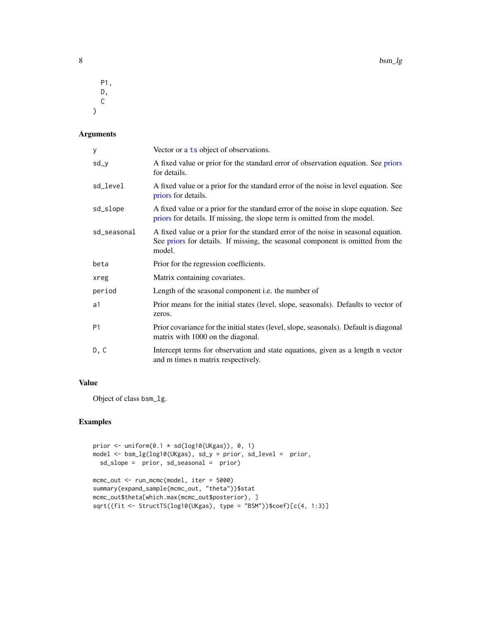<span id="page-7-0"></span>P1, D, C  $\mathcal{L}$ 

## Arguments

| у              | Vector or a ts object of observations.                                                                                                                                         |  |  |
|----------------|--------------------------------------------------------------------------------------------------------------------------------------------------------------------------------|--|--|
| sd_y           | A fixed value or prior for the standard error of observation equation. See priors<br>for details.                                                                              |  |  |
| sd_level       | A fixed value or a prior for the standard error of the noise in level equation. See<br>priors for details.                                                                     |  |  |
| sd_slope       | A fixed value or a prior for the standard error of the noise in slope equation. See<br>priors for details. If missing, the slope term is omitted from the model.               |  |  |
| sd_seasonal    | A fixed value or a prior for the standard error of the noise in seasonal equation.<br>See priors for details. If missing, the seasonal component is omitted from the<br>model. |  |  |
| beta           | Prior for the regression coefficients.                                                                                                                                         |  |  |
| xreg           | Matrix containing covariates.                                                                                                                                                  |  |  |
| period         | Length of the seasonal component i.e. the number of                                                                                                                            |  |  |
| a1             | Prior means for the initial states (level, slope, seasonals). Defaults to vector of<br>zeros.                                                                                  |  |  |
| P <sub>1</sub> | Prior covariance for the initial states (level, slope, seasonals). Default is diagonal<br>matrix with 1000 on the diagonal.                                                    |  |  |
| D, C           | Intercept terms for observation and state equations, given as a length n vector<br>and m times n matrix respectively.                                                          |  |  |

#### Value

Object of class bsm\_lg.

## Examples

```
prior \leq uniform(0.1 \star sd(log10(UKgas)), 0, 1)
model <- bsm_lg(log10(UKgas), sd_y = prior, sd_level = prior,
  sd_slope = prior, sd_seasonal = prior)
mcmc_out <- run_mcmc(model, iter = 5000)
summary(expand_sample(mcmc_out, "theta"))$stat
mcmc_out$theta[which.max(mcmc_out$posterior), ]
sqrt((fit <- StructTS(log10(UKgas), type = "BSM"))$coef)[c(4, 1:3)]
```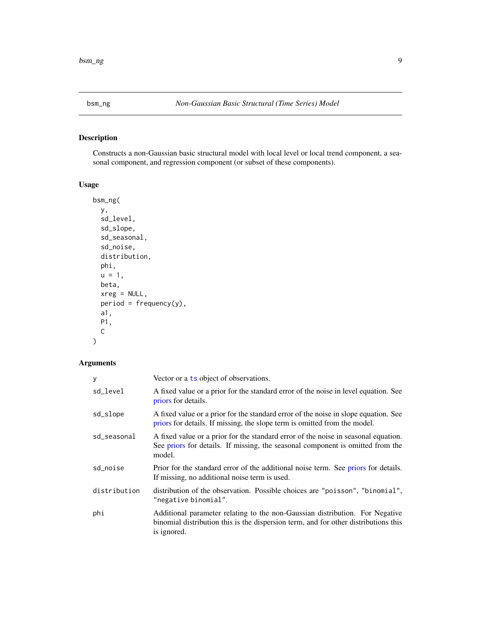<span id="page-8-0"></span>

## Description

Constructs a non-Gaussian basic structural model with local level or local trend component, a seasonal component, and regression component (or subset of these components).

## Usage

```
bsm_ng(
 y,
  sd_level,
  sd_slope,
  sd_seasonal,
  sd_noise,
 distribution,
 phi,
 u = 1,
 beta,
 xreg = NULL,
 period = frequency(y),
 a1,
 P1,
 C
```
## Arguments

)

| y            | Vector or a ts object of observations.                                                                                                                                             |  |
|--------------|------------------------------------------------------------------------------------------------------------------------------------------------------------------------------------|--|
| sd_level     | A fixed value or a prior for the standard error of the noise in level equation. See<br>priors for details.                                                                         |  |
| sd_slope     | A fixed value or a prior for the standard error of the noise in slope equation. See<br>priors for details. If missing, the slope term is omitted from the model.                   |  |
| sd_seasonal  | A fixed value or a prior for the standard error of the noise in seasonal equation.<br>See priors for details. If missing, the seasonal component is omitted from the<br>model.     |  |
| sd_noise     | Prior for the standard error of the additional noise term. See priors for details.<br>If missing, no additional noise term is used.                                                |  |
| distribution | distribution of the observation. Possible choices are "poisson", "binomial",<br>"negative binomial".                                                                               |  |
| phi          | Additional parameter relating to the non-Gaussian distribution. For Negative<br>binomial distribution this is the dispersion term, and for other distributions this<br>is ignored. |  |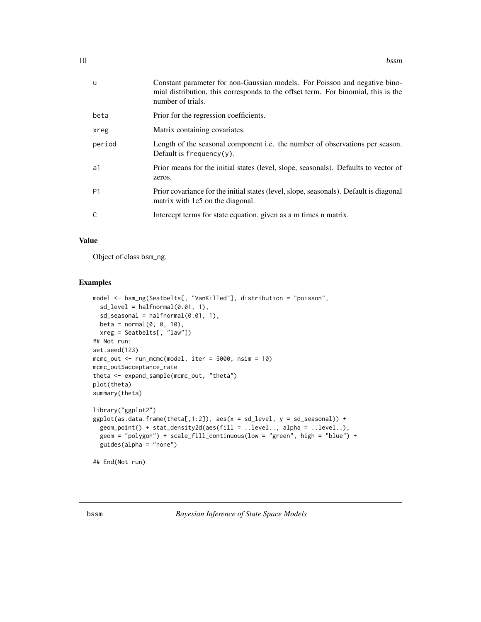<span id="page-9-0"></span>

| <b>u</b>       | Constant parameter for non-Gaussian models. For Poisson and negative bino-<br>mial distribution, this corresponds to the offset term. For binomial, this is the<br>number of trials. |
|----------------|--------------------------------------------------------------------------------------------------------------------------------------------------------------------------------------|
| beta           | Prior for the regression coefficients.                                                                                                                                               |
| xreg           | Matrix containing covariates.                                                                                                                                                        |
| period         | Length of the seasonal component i.e. the number of observations per season.<br>Default is $frequency(y)$ .                                                                          |
| a1             | Prior means for the initial states (level, slope, seasonals). Defaults to vector of<br>zeros.                                                                                        |
| P <sub>1</sub> | Prior covariance for the initial states (level, slope, seasonals). Default is diagonal<br>matrix with 1e5 on the diagonal.                                                           |
| C              | Intercept terms for state equation, given as a m times n matrix.                                                                                                                     |

#### Value

Object of class bsm\_ng.

#### Examples

```
model <- bsm_ng(Seatbelts[, "VanKilled"], distribution = "poisson",
  sd\_level = halfnormal(0.01, 1),sd\_seasonal = halfnormal(0.01, 1),beta = normal(0, 0, 10),
  xreg = Seatbelts[, "law"])
## Not run:
set.seed(123)
mcmc_out <- run_mcmc(model, iter = 5000, nsim = 10)
mcmc_out$acceptance_rate
theta <- expand_sample(mcmc_out, "theta")
plot(theta)
summary(theta)
library("ggplot2")
ggplot(as.data.frame(theta[,1:2]), aes(x = sd\_level, y = sd\_seasonal)) +geom_point() + stat_density2d(aes(fill = ..level.., alpha = ..level..),
  geom = "polygon") + scale_fill_continuous(low = "green", high = "blue") +
  guides(alpha = "none")
```
## End(Not run)

bssm *Bayesian Inference of State Space Models*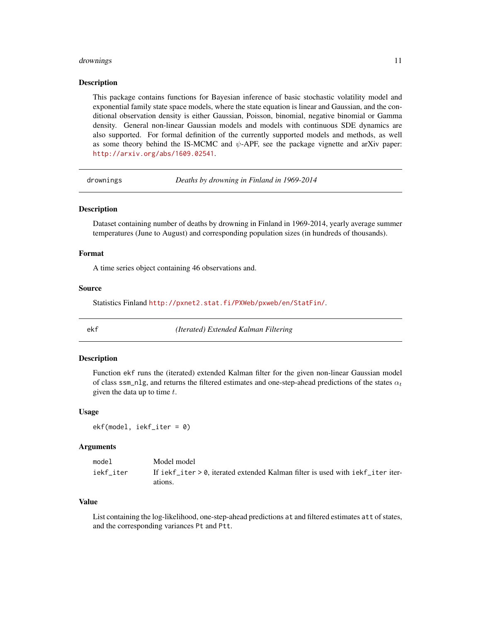#### <span id="page-10-0"></span>drownings the contract of the contract of the contract of the contract of the contract of the contract of the contract of the contract of the contract of the contract of the contract of the contract of the contract of the

#### Description

This package contains functions for Bayesian inference of basic stochastic volatility model and exponential family state space models, where the state equation is linear and Gaussian, and the conditional observation density is either Gaussian, Poisson, binomial, negative binomial or Gamma density. General non-linear Gaussian models and models with continuous SDE dynamics are also supported. For formal definition of the currently supported models and methods, as well as some theory behind the IS-MCMC and  $\psi$ -APF, see the package vignette and arXiv paper: <http://arxiv.org/abs/1609.02541>.

drownings *Deaths by drowning in Finland in 1969-2014*

#### Description

Dataset containing number of deaths by drowning in Finland in 1969-2014, yearly average summer temperatures (June to August) and corresponding population sizes (in hundreds of thousands).

#### Format

A time series object containing 46 observations and.

#### Source

Statistics Finland <http://pxnet2.stat.fi/PXWeb/pxweb/en/StatFin/>.

ekf *(Iterated) Extended Kalman Filtering*

#### Description

Function ekf runs the (iterated) extended Kalman filter for the given non-linear Gaussian model of class ssm\_nlg, and returns the filtered estimates and one-step-ahead predictions of the states  $\alpha_t$ given the data up to time  $t$ .

#### Usage

ekf(model, iekf\_iter = 0)

#### Arguments

| model     | Model model                                                                      |
|-----------|----------------------------------------------------------------------------------|
| iekf iter | If iekf iter $> 0$ , iterated extended Kalman filter is used with iekf iteriter- |
|           | ations.                                                                          |

#### Value

List containing the log-likelihood, one-step-ahead predictions at and filtered estimates att of states, and the corresponding variances Pt and Ptt.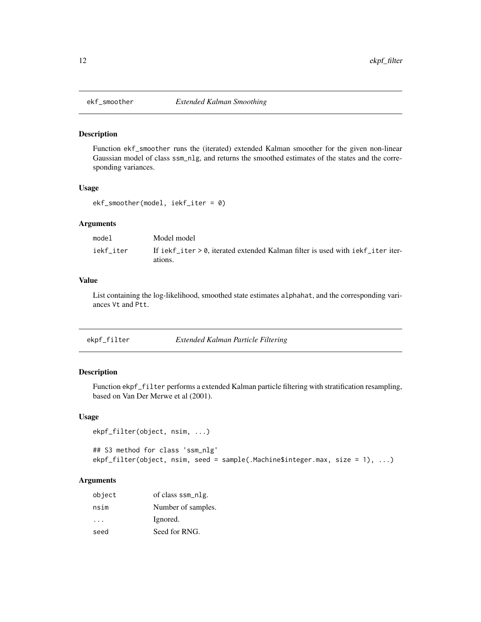<span id="page-11-0"></span>

#### Description

Function ekf\_smoother runs the (iterated) extended Kalman smoother for the given non-linear Gaussian model of class ssm\_nlg, and returns the smoothed estimates of the states and the corresponding variances.

#### Usage

```
ekf_smoother(model, iekf_iter = 0)
```
#### Arguments

| model     | Model model                                                                                 |
|-----------|---------------------------------------------------------------------------------------------|
| iekf iter | If iekf iter $> 0$ , iterated extended Kalman filter is used with iekf iteriter-<br>ations. |

#### Value

List containing the log-likelihood, smoothed state estimates alphahat, and the corresponding variances Vt and Ptt.

| ekpf_filter | Extended Kalman Particle Filtering |  |
|-------------|------------------------------------|--|
|             |                                    |  |

## Description

Function ekpf\_filter performs a extended Kalman particle filtering with stratification resampling, based on Van Der Merwe et al (2001).

#### Usage

```
ekpf_filter(object, nsim, ...)
```

```
## S3 method for class 'ssm_nlg'
ekpf_filter(object, nsim, seed = sample(.Machine$integer.max, size = 1), ...)
```

| object   | of class ssm_nlg.  |
|----------|--------------------|
| nsim     | Number of samples. |
| $\cdots$ | Ignored.           |
| seed     | Seed for RNG.      |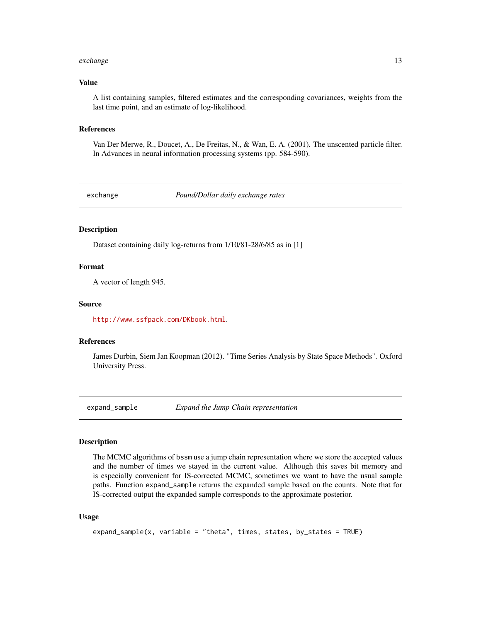#### <span id="page-12-0"></span>exchange 13

#### Value

A list containing samples, filtered estimates and the corresponding covariances, weights from the last time point, and an estimate of log-likelihood.

#### References

Van Der Merwe, R., Doucet, A., De Freitas, N., & Wan, E. A. (2001). The unscented particle filter. In Advances in neural information processing systems (pp. 584-590).

exchange *Pound/Dollar daily exchange rates*

#### Description

Dataset containing daily log-returns from 1/10/81-28/6/85 as in [1]

#### Format

A vector of length 945.

#### Source

<http://www.ssfpack.com/DKbook.html>.

#### References

James Durbin, Siem Jan Koopman (2012). "Time Series Analysis by State Space Methods". Oxford University Press.

expand\_sample *Expand the Jump Chain representation*

#### Description

The MCMC algorithms of bssm use a jump chain representation where we store the accepted values and the number of times we stayed in the current value. Although this saves bit memory and is especially convenient for IS-corrected MCMC, sometimes we want to have the usual sample paths. Function expand\_sample returns the expanded sample based on the counts. Note that for IS-corrected output the expanded sample corresponds to the approximate posterior.

```
expand_sample(x, variable = "theta", times, states, by_states = TRUE)
```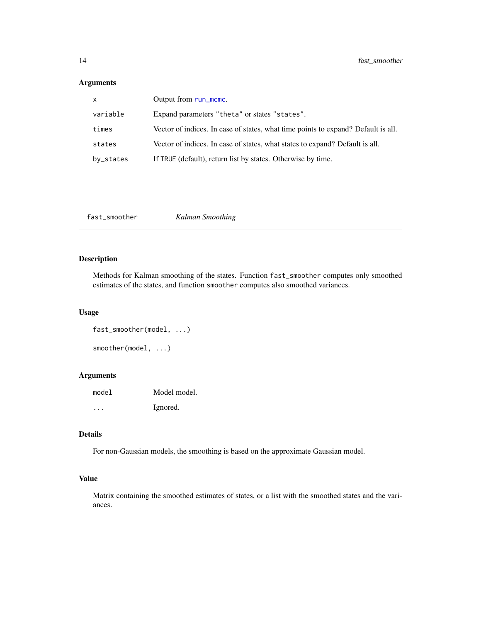## <span id="page-13-0"></span>Arguments

| $\mathsf{x}$ | Output from run_mcmc.                                                             |
|--------------|-----------------------------------------------------------------------------------|
| variable     | Expand parameters "theta" or states "states".                                     |
| times        | Vector of indices. In case of states, what time points to expand? Default is all. |
| states       | Vector of indices. In case of states, what states to expand? Default is all.      |
| by_states    | If TRUE (default), return list by states. Otherwise by time.                      |

fast\_smoother *Kalman Smoothing*

## Description

Methods for Kalman smoothing of the states. Function fast\_smoother computes only smoothed estimates of the states, and function smoother computes also smoothed variances.

#### Usage

```
fast_smoother(model, ...)
smoother(model, ...)
```
## Arguments

model Model model. ... Ignored.

## Details

For non-Gaussian models, the smoothing is based on the approximate Gaussian model.

#### Value

Matrix containing the smoothed estimates of states, or a list with the smoothed states and the variances.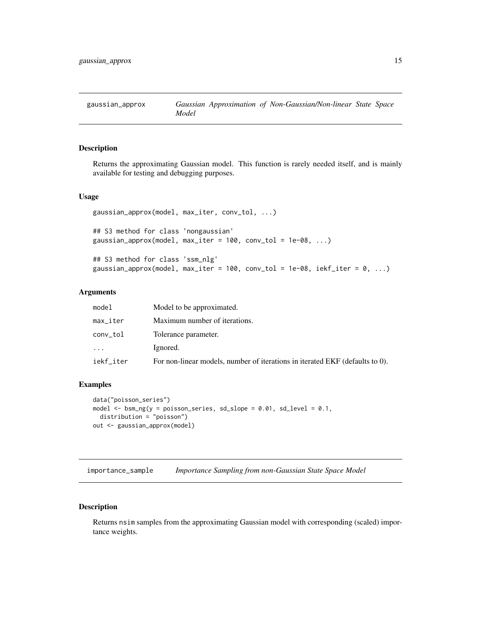<span id="page-14-0"></span>

#### Description

Returns the approximating Gaussian model. This function is rarely needed itself, and is mainly available for testing and debugging purposes.

#### Usage

```
gaussian_approx(model, max_iter, conv_tol, ...)
## S3 method for class 'nongaussian'
gaussian_approx(model, max_iter = 100, conv_tol = 1e-08, ...)
## S3 method for class 'ssm_nlg'
gaussian_approx(model, max_iter = 100, conv_tol = 1e-08, iekf_iter = 0, ...)
```
#### Arguments

| model     | Model to be approximated.                                                    |
|-----------|------------------------------------------------------------------------------|
| max_iter  | Maximum number of iterations.                                                |
| conv_tol  | Tolerance parameter.                                                         |
| $\cdots$  | Ignored.                                                                     |
| iekf_iter | For non-linear models, number of iterations in iterated EKF (defaults to 0). |

#### Examples

```
data("poisson_series")
model \le bsm_ng(y = poisson_series, sd_slope = 0.01, sd_level = 0.1,
  distribution = "poisson")
out <- gaussian_approx(model)
```
importance\_sample *Importance Sampling from non-Gaussian State Space Model*

#### Description

Returns nsim samples from the approximating Gaussian model with corresponding (scaled) importance weights.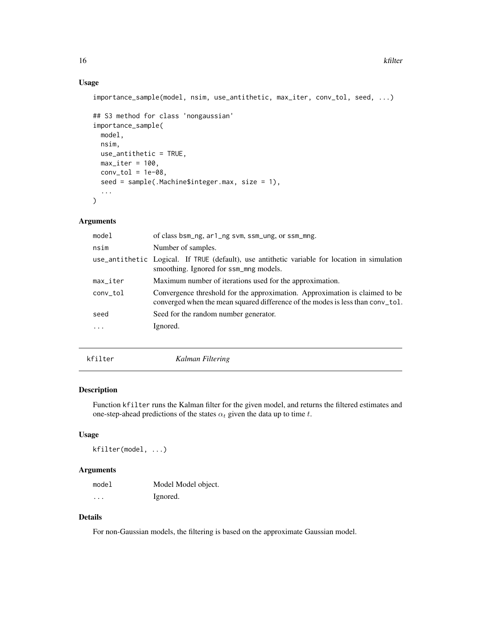## Usage

```
importance_sample(model, nsim, use_antithetic, max_iter, conv_tol, seed, ...)
## S3 method for class 'nongaussian'
importance_sample(
 model,
 nsim,
 use_antithetic = TRUE,
 max\_iter = 100,
 conv\_tol = 1e-08,
  seed = sample(.Machine$integer.max, size = 1),
  ...
```
 $\mathcal{L}$ 

#### Arguments

| model                  | of class bsm_ng, ar1_ng svm, ssm_ung, or ssm_mng.                                                                                                             |
|------------------------|---------------------------------------------------------------------------------------------------------------------------------------------------------------|
| nsim                   | Number of samples.                                                                                                                                            |
|                        | use_antithetic Logical. If TRUE (default), use antithetic variable for location in simulation<br>smoothing. Ignored for ssm_mng models.                       |
| $max$ <sub>Liter</sub> | Maximum number of iterations used for the approximation.                                                                                                      |
| conv_tol               | Convergence threshold for the approximation. Approximation is claimed to be<br>converged when the mean squared difference of the modes is less than conv_tol. |
| seed                   | Seed for the random number generator.                                                                                                                         |
|                        | Ignored.                                                                                                                                                      |
|                        |                                                                                                                                                               |
|                        |                                                                                                                                                               |

kfilter *Kalman Filtering*

#### Description

Function kfilter runs the Kalman filter for the given model, and returns the filtered estimates and one-step-ahead predictions of the states  $\alpha_t$  given the data up to time t.

#### Usage

kfilter(model, ...)

#### Arguments

| model | Model Model object. |
|-------|---------------------|
| .     | Ignored.            |

## Details

For non-Gaussian models, the filtering is based on the approximate Gaussian model.

<span id="page-15-0"></span>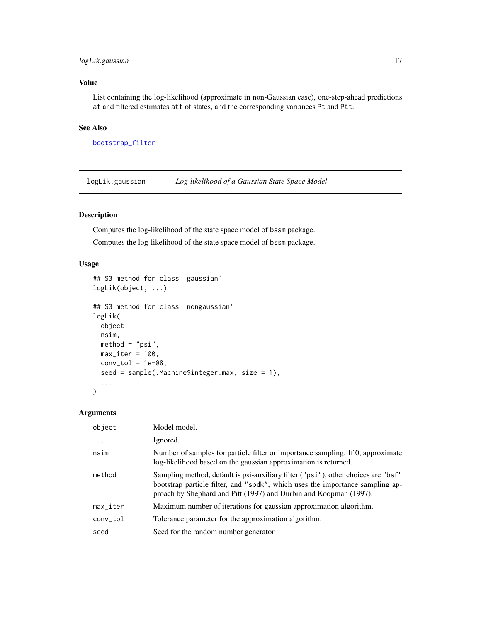## <span id="page-16-0"></span>logLik.gaussian 17

## Value

List containing the log-likelihood (approximate in non-Gaussian case), one-step-ahead predictions at and filtered estimates att of states, and the corresponding variances Pt and Ptt.

#### See Also

[bootstrap\\_filter](#page-5-1)

logLik.gaussian *Log-likelihood of a Gaussian State Space Model*

#### Description

Computes the log-likelihood of the state space model of bssm package. Computes the log-likelihood of the state space model of bssm package.

## Usage

```
## S3 method for class 'gaussian'
logLik(object, ...)
## S3 method for class 'nongaussian'
logLik(
 object,
 nsim,
 method = "psi",max\_iter = 100,
 conv\_tol = 1e-08,
  seed = sample(.Machine$integer.max, size = 1),
  ...
\mathcal{L}
```

| object   | Model model.                                                                                                                                                                                                                            |
|----------|-----------------------------------------------------------------------------------------------------------------------------------------------------------------------------------------------------------------------------------------|
| $\cdots$ | Ignored.                                                                                                                                                                                                                                |
| nsim     | Number of samples for particle filter or importance sampling. If 0, approximate<br>log-likelihood based on the gaussian approximation is returned.                                                                                      |
| method   | Sampling method, default is psi-auxiliary filter ("psi"), other choices are "bsf"<br>bootstrap particle filter, and "spdk", which uses the importance sampling ap-<br>proach by Shephard and Pitt (1997) and Durbin and Koopman (1997). |
| max_iter | Maximum number of iterations for gaussian approximation algorithm.                                                                                                                                                                      |
| conv_tol | Tolerance parameter for the approximation algorithm.                                                                                                                                                                                    |
| seed     | Seed for the random number generator.                                                                                                                                                                                                   |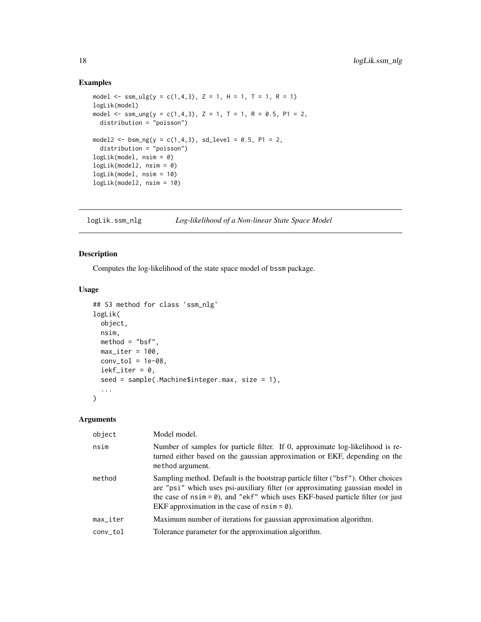#### Examples

```
model \leq ssm_ulg(y = c(1,4,3), Z = 1, H = 1, T = 1, R = 1)
logLik(model)
model \leq ssm_ung(y = c(1,4,3), Z = 1, T = 1, R = 0.5, P1 = 2,
 distribution = "poisson")
model2 <- bsm_ng(y = c(1,4,3), sd\_level = 0.5, P1 = 2,distribution = "poisson")
logLik(model, nsim = 0)
logLik(model2, nsim = 0)
logLik(model, nsim = 10)
logLik(model2, nsim = 10)
```
logLik.ssm\_nlg *Log-likelihood of a Non-linear State Space Model*

## Description

Computes the log-likelihood of the state space model of bssm package.

## Usage

```
## S3 method for class 'ssm_nlg'
logLik(
  object,
 nsim,
 method = "bsf",max\_iter = 100,
 conv\_tol = 1e-08,
  iekf_iter = 0,
  seed = sample(.Machine$integer.max, size = 1),
  ...
)
```

| object                 | Model model.                                                                                                                                                                                                                                                                                           |
|------------------------|--------------------------------------------------------------------------------------------------------------------------------------------------------------------------------------------------------------------------------------------------------------------------------------------------------|
| nsim                   | Number of samples for particle filter. If 0, approximate log-likelihood is re-<br>turned either based on the gaussian approximation or EKF, depending on the<br>method argument.                                                                                                                       |
| method                 | Sampling method. Default is the bootstrap particle filter ("bsf"). Other choices<br>are "psi" which uses psi-auxiliary filter (or approximating gaussian model in<br>the case of $nsim = 0$ , and "ekf" which uses EKF-based particle filter (or just<br>EKF approximation in the case of $nsim = 0$ . |
| $max$ <sub>Liter</sub> | Maximum number of iterations for gaussian approximation algorithm.                                                                                                                                                                                                                                     |
| conv_tol               | Tolerance parameter for the approximation algorithm.                                                                                                                                                                                                                                                   |
|                        |                                                                                                                                                                                                                                                                                                        |

<span id="page-17-0"></span>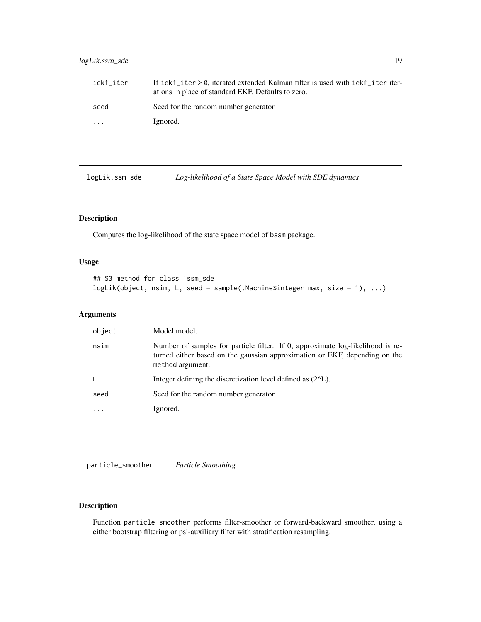## <span id="page-18-0"></span>logLik.ssm\_sde 19

| iekf iter | If iekf_iter > 0, iterated extended Kalman filter is used with iekf_iter iter-<br>ations in place of standard EKF. Defaults to zero. |
|-----------|--------------------------------------------------------------------------------------------------------------------------------------|
| seed      | Seed for the random number generator.                                                                                                |
| $\ddotsc$ | Ignored.                                                                                                                             |

logLik.ssm\_sde *Log-likelihood of a State Space Model with SDE dynamics*

## Description

Computes the log-likelihood of the state space model of bssm package.

## Usage

```
## S3 method for class 'ssm_sde'
logLik(object, nsim, L, seed = sample(.Machine$integer.max, size = 1), ...)
```
## Arguments

| object                  | Model model.                                                                                                                                                                     |
|-------------------------|----------------------------------------------------------------------------------------------------------------------------------------------------------------------------------|
| nsim                    | Number of samples for particle filter. If 0, approximate log-likelihood is re-<br>turned either based on the gaussian approximation or EKF, depending on the<br>method argument. |
| L                       | Integer defining the discretization level defined as $(2^{\wedge}L)$ .                                                                                                           |
| seed                    | Seed for the random number generator.                                                                                                                                            |
| $\cdot$ $\cdot$ $\cdot$ | Ignored.                                                                                                                                                                         |

particle\_smoother *Particle Smoothing*

## Description

Function particle\_smoother performs filter-smoother or forward-backward smoother, using a either bootstrap filtering or psi-auxiliary filter with stratification resampling.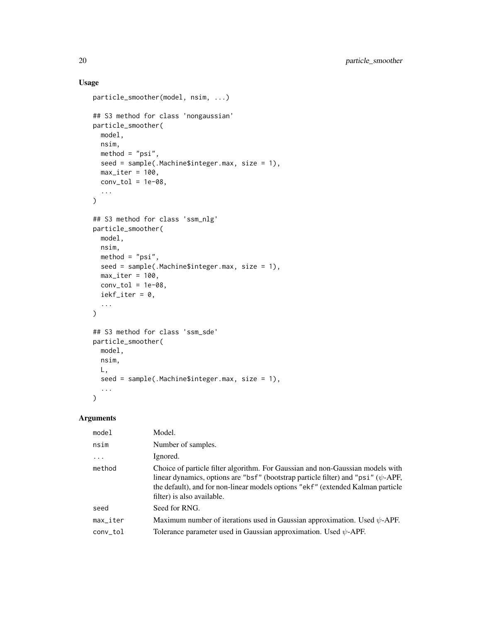## Usage

```
particle_smoother(model, nsim, ...)
## S3 method for class 'nongaussian'
particle_smoother(
 model,
 nsim,
 method = "psi",seed = sample(.Machine$integer.max, size = 1),
 max\_iter = 100,
 conv\_tol = 1e-08,
  ...
)
## S3 method for class 'ssm_nlg'
particle_smoother(
 model,
 nsim,
 method = "psi",seed = sample(.Machine$integer.max, size = 1),
 max\_iter = 100,
 conv\_tol = 1e-08,
 iekf_iter = 0,
  ...
\mathcal{L}## S3 method for class 'ssm_sde'
particle_smoother(
 model,
 nsim,
 L,
 seed = sample(.Machine$integer.max, size = 1),
  ...
\overline{\phantom{a}}
```

| model                     | Model.                                                                                                                                                                                                                                                                                     |
|---------------------------|--------------------------------------------------------------------------------------------------------------------------------------------------------------------------------------------------------------------------------------------------------------------------------------------|
| nsim                      | Number of samples.                                                                                                                                                                                                                                                                         |
| $\cdots$                  | Ignored.                                                                                                                                                                                                                                                                                   |
| method                    | Choice of particle filter algorithm. For Gaussian and non-Gaussian models with<br>linear dynamics, options are "bsf" (bootstrap particle filter) and "psi" ( $\psi$ -APF,<br>the default), and for non-linear models options "ekf" (extended Kalman particle<br>filter) is also available. |
| seed                      | Seed for RNG.                                                                                                                                                                                                                                                                              |
| $max$ <sub>-</sub> $iter$ | Maximum number of iterations used in Gaussian approximation. Used $\psi$ -APF.                                                                                                                                                                                                             |
| conv_tol                  | Tolerance parameter used in Gaussian approximation. Used $\psi$ -APF.                                                                                                                                                                                                                      |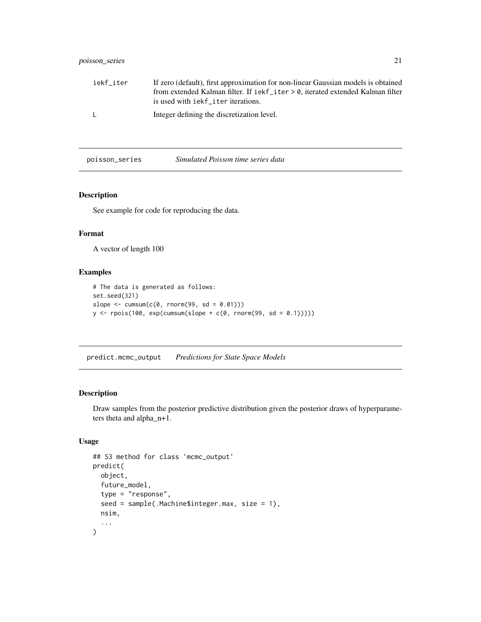<span id="page-20-0"></span>

| iekf_iter    | If zero (default), first approximation for non-linear Gaussian models is obtained          |
|--------------|--------------------------------------------------------------------------------------------|
|              | from extended Kalman filter. If $i e k f_i$ iter $\ge 0$ , iterated extended Kalman filter |
|              | is used with iekf _ i ter iterations.                                                      |
| $\mathbf{L}$ | Integer defining the discretization level.                                                 |

poisson\_series *Simulated Poisson time series data*

## Description

See example for code for reproducing the data.

#### Format

A vector of length 100

## Examples

```
# The data is generated as follows:
set.seed(321)
slope \leq cumsum(c(0, rnorm(99, sd = 0.01)))
y \leftarrow \text{rpois}(100, \text{exp}(\text{cumsum}(\text{slope} + \text{c}(0, \text{rnorm}(99, \text{sd} = 0.1))))))
```
predict.mcmc\_output *Predictions for State Space Models*

#### Description

Draw samples from the posterior predictive distribution given the posterior draws of hyperparameters theta and alpha\_n+1.

```
## S3 method for class 'mcmc_output'
predict(
  object,
  future_model,
  type = "response",
  seed = sample(.Machine$integer.max, size = 1),
 nsim,
  ...
\mathcal{E}
```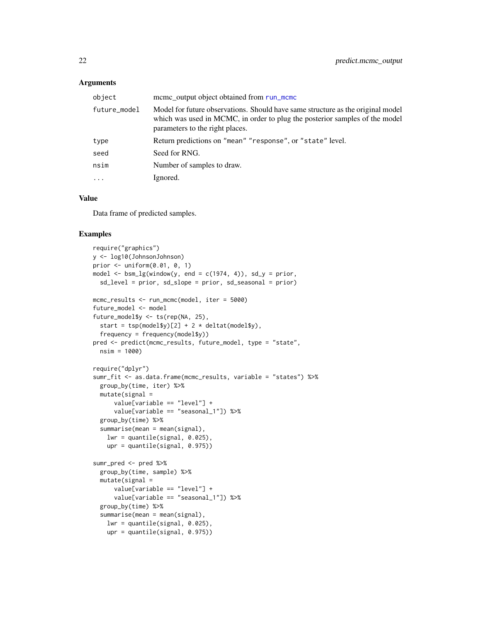#### <span id="page-21-0"></span>**Arguments**

| object       | meme output object obtained from run_meme                                                                                                                                                         |
|--------------|---------------------------------------------------------------------------------------------------------------------------------------------------------------------------------------------------|
| future_model | Model for future observations. Should have same structure as the original model<br>which was used in MCMC, in order to plug the posterior samples of the model<br>parameters to the right places. |
| type         | Return predictions on "mean" "response", or "state" level.                                                                                                                                        |
| seed         | Seed for RNG.                                                                                                                                                                                     |
| nsim         | Number of samples to draw.                                                                                                                                                                        |
| $\cdots$     | Ignored.                                                                                                                                                                                          |

## Value

Data frame of predicted samples.

#### Examples

```
require("graphics")
y <- log10(JohnsonJohnson)
prior <- uniform(0.01, 0, 1)
model \le bsm_lg(window(y, end = c(1974, 4)), sd_y = prior,
  sd_level = prior, sd_slope = prior, sd_seasonal = prior)
mcmc_results <- run_mcmc(model, iter = 5000)
future_model <- model
future_model$y <- ts(rep(NA, 25),
  start = tsp(model$y)[2] + 2 * delta(model$y),
  frequency = frequency(model$y)pred <- predict(mcmc_results, future_model, type = "state",
  nsim = 1000)
require("dplyr")
sumr_fit <- as.data.frame(mcmc_results, variable = "states") %>%
  group_by(time, iter) %>%
  mutate(signal =value[variable == "level"] +
      value[variable == "seasonal_1"]) %>%
  group_by(time) %>%
  summarise(mean = mean(signal),
    lwr = quantile(signal, 0.025),
    upr = quantile(signal, 0.975)sumr_pred <- pred %>%
  group_by(time, sample) %>%
  mutate(signal =value[variable == "level"] +
      value[variable == "seasonal_1"]) %>%
  group_by(time) %>%
  summarise(mean = mean(signal),
    lwr = quantile(signal, 0.025),
    upr = quantile(signal, 0.975))
```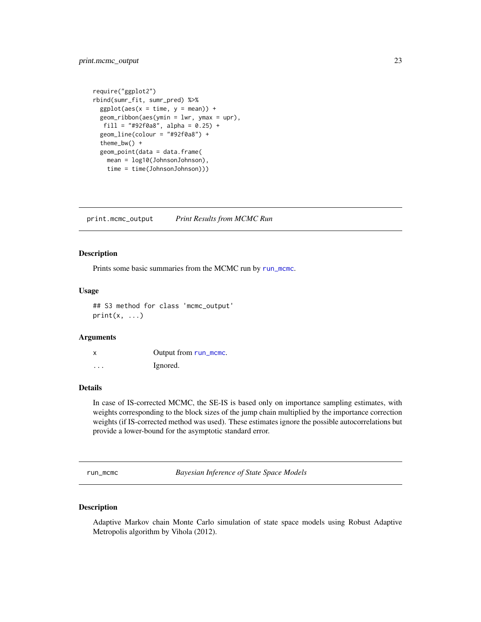```
require("ggplot2")
rbind(sumr_fit, sumr_pred) %>%
 ggplot(aes(x = time, y = mean)) +geom_ribbon(aes(ymin = lwr, ymax = upr),
  fill = "#92f0a8", alpha = 0.25) +
 geom_line(colour = "#92f0a8") +
 theme_bw() +
 geom_point(data = data.frame(
   mean = log10(JohnsonJohnson),
   time = time(JohnsonJohnson)))
```
print.mcmc\_output *Print Results from MCMC Run*

#### Description

Prints some basic summaries from the MCMC run by [run\\_mcmc](#page-22-1).

#### Usage

## S3 method for class 'mcmc\_output'  $print(x, \ldots)$ 

#### Arguments

| x                       | Output from run_mcmc. |
|-------------------------|-----------------------|
| $\cdot$ $\cdot$ $\cdot$ | Ignored.              |

## Details

In case of IS-corrected MCMC, the SE-IS is based only on importance sampling estimates, with weights corresponding to the block sizes of the jump chain multiplied by the importance correction weights (if IS-corrected method was used). These estimates ignore the possible autocorrelations but provide a lower-bound for the asymptotic standard error.

<span id="page-22-1"></span>run\_mcmc *Bayesian Inference of State Space Models*

#### Description

Adaptive Markov chain Monte Carlo simulation of state space models using Robust Adaptive Metropolis algorithm by Vihola (2012).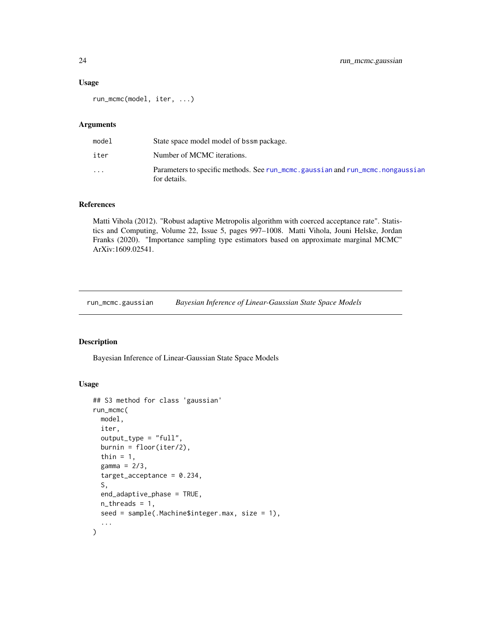#### <span id="page-23-0"></span>Usage

run\_mcmc(model, iter, ...)

#### Arguments

| model                   | State space model model of bssm package.                                                       |
|-------------------------|------------------------------------------------------------------------------------------------|
| iter                    | Number of MCMC iterations.                                                                     |
| $\cdot$ $\cdot$ $\cdot$ | Parameters to specific methods. See run_mcmc.gaussian and run_mcmc.nongaussian<br>for details. |

#### References

Matti Vihola (2012). "Robust adaptive Metropolis algorithm with coerced acceptance rate". Statistics and Computing, Volume 22, Issue 5, pages 997–1008. Matti Vihola, Jouni Helske, Jordan Franks (2020). "Importance sampling type estimators based on approximate marginal MCMC" ArXiv:1609.02541.

<span id="page-23-1"></span>run\_mcmc.gaussian *Bayesian Inference of Linear-Gaussian State Space Models*

#### Description

Bayesian Inference of Linear-Gaussian State Space Models

```
## S3 method for class 'gaussian'
run_mcmc(
 model,
  iter,
  output_type = "full",
 burnin = floor(iter/2),
  thin = 1,
  gamma = 2/3,
  target_acceptance = 0.234,S,
 end_adaptive_phase = TRUE,
 n_threads = 1,
  seed = sample(.Machine$integer.max, size = 1),
  ...
\mathcal{L}
```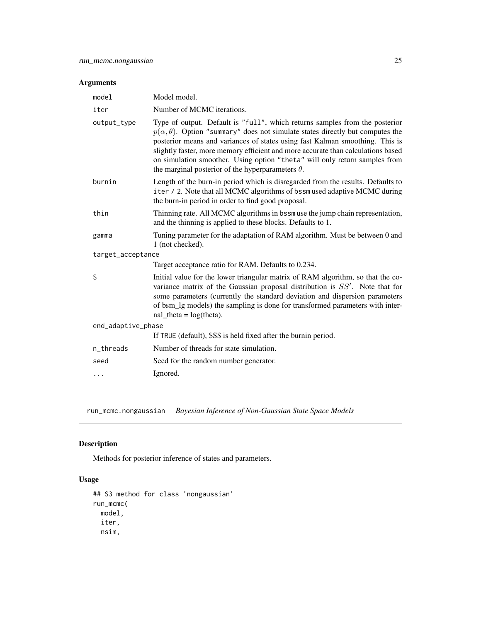## <span id="page-24-0"></span>Arguments

| model              | Model model.                                                                                                                                                                                                                                                                                                                                                                                                                                                                           |
|--------------------|----------------------------------------------------------------------------------------------------------------------------------------------------------------------------------------------------------------------------------------------------------------------------------------------------------------------------------------------------------------------------------------------------------------------------------------------------------------------------------------|
| iter               | Number of MCMC iterations.                                                                                                                                                                                                                                                                                                                                                                                                                                                             |
| output_type        | Type of output. Default is "full", which returns samples from the posterior<br>$p(\alpha, \theta)$ . Option "summary" does not simulate states directly but computes the<br>posterior means and variances of states using fast Kalman smoothing. This is<br>slightly faster, more memory efficient and more accurate than calculations based<br>on simulation smoother. Using option "theta" will only return samples from<br>the marginal posterior of the hyperparameters $\theta$ . |
| burnin             | Length of the burn-in period which is disregarded from the results. Defaults to<br>iter / 2. Note that all MCMC algorithms of bssm used adaptive MCMC during<br>the burn-in period in order to find good proposal.                                                                                                                                                                                                                                                                     |
| thin               | Thinning rate. All MCMC algorithms in bssm use the jump chain representation,<br>and the thinning is applied to these blocks. Defaults to 1.                                                                                                                                                                                                                                                                                                                                           |
| gamma              | Tuning parameter for the adaptation of RAM algorithm. Must be between 0 and<br>1 (not checked).                                                                                                                                                                                                                                                                                                                                                                                        |
| target_acceptance  |                                                                                                                                                                                                                                                                                                                                                                                                                                                                                        |
|                    | Target acceptance ratio for RAM. Defaults to 0.234.                                                                                                                                                                                                                                                                                                                                                                                                                                    |
| S                  | Initial value for the lower triangular matrix of RAM algorithm, so that the co-<br>variance matrix of the Gaussian proposal distribution is $SS'$ . Note that for<br>some parameters (currently the standard deviation and dispersion parameters<br>of bsm_lg models) the sampling is done for transformed parameters with inter-<br>$nal\_theta = log(theta)$ .                                                                                                                       |
| end_adaptive_phase |                                                                                                                                                                                                                                                                                                                                                                                                                                                                                        |
|                    | If TRUE (default), \$S\$ is held fixed after the burnin period.                                                                                                                                                                                                                                                                                                                                                                                                                        |
| n_threads          | Number of threads for state simulation.                                                                                                                                                                                                                                                                                                                                                                                                                                                |
| seed               | Seed for the random number generator.                                                                                                                                                                                                                                                                                                                                                                                                                                                  |
| $\cdots$           | Ignored.                                                                                                                                                                                                                                                                                                                                                                                                                                                                               |
|                    |                                                                                                                                                                                                                                                                                                                                                                                                                                                                                        |

<span id="page-24-1"></span>run\_mcmc.nongaussian *Bayesian Inference of Non-Gaussian State Space Models*

## Description

Methods for posterior inference of states and parameters.

```
## S3 method for class 'nongaussian'
run_mcmc(
 model,
 iter,
 nsim,
```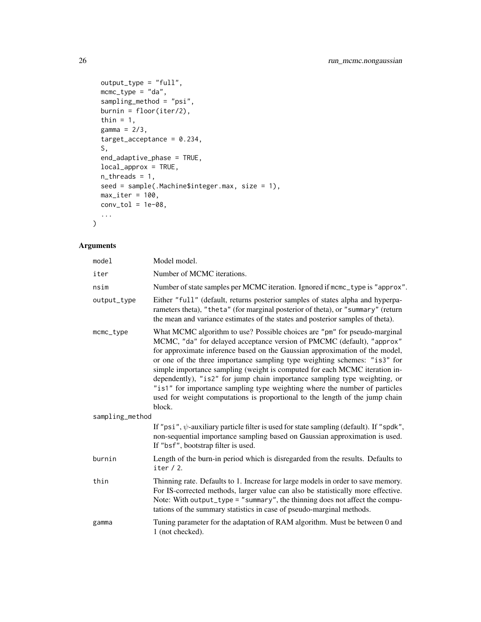```
output_type = "full",mcmc_type = "da",
 sampling_method = "psi",
 burnin = floor(iter/2),
 thin = 1,gamma = 2/3,
 target_acceptance = 0.234,
 S,
 end_adaptive_phase = TRUE,
 local_approx = TRUE,
 n_threads = 1,
 seed = sample(.Machine$integer.max, size = 1),
 max\_iter = 100,
 conv\_tol = 1e-08,
  ...
)
```

| model           | Model model.                                                                                                                                                                                                                                                                                                                                                                                                                                                                                                                                                                                                                                       |
|-----------------|----------------------------------------------------------------------------------------------------------------------------------------------------------------------------------------------------------------------------------------------------------------------------------------------------------------------------------------------------------------------------------------------------------------------------------------------------------------------------------------------------------------------------------------------------------------------------------------------------------------------------------------------------|
| iter            | Number of MCMC iterations.                                                                                                                                                                                                                                                                                                                                                                                                                                                                                                                                                                                                                         |
| nsim            | Number of state samples per MCMC iteration. Ignored if mcmc_type is "approx".                                                                                                                                                                                                                                                                                                                                                                                                                                                                                                                                                                      |
| output_type     | Either "full" (default, returns posterior samples of states alpha and hyperpa-<br>rameters theta), "theta" (for marginal posterior of theta), or "summary" (return<br>the mean and variance estimates of the states and posterior samples of theta).                                                                                                                                                                                                                                                                                                                                                                                               |
| mcmc_type       | What MCMC algorithm to use? Possible choices are "pm" for pseudo-marginal<br>MCMC, "da" for delayed acceptance version of PMCMC (default), "approx"<br>for approximate inference based on the Gaussian approximation of the model,<br>or one of the three importance sampling type weighting schemes: "is3" for<br>simple importance sampling (weight is computed for each MCMC iteration in-<br>dependently), "is2" for jump chain importance sampling type weighting, or<br>"is1" for importance sampling type weighting where the number of particles<br>used for weight computations is proportional to the length of the jump chain<br>block. |
| sampling_method |                                                                                                                                                                                                                                                                                                                                                                                                                                                                                                                                                                                                                                                    |
|                 | If "psi", $\psi$ -auxiliary particle filter is used for state sampling (default). If "spdk",<br>non-sequential importance sampling based on Gaussian approximation is used.<br>If "bsf", bootstrap filter is used.                                                                                                                                                                                                                                                                                                                                                                                                                                 |
| burnin          | Length of the burn-in period which is disregarded from the results. Defaults to<br>iter $/ 2$ .                                                                                                                                                                                                                                                                                                                                                                                                                                                                                                                                                    |
| thin            | Thinning rate. Defaults to 1. Increase for large models in order to save memory.<br>For IS-corrected methods, larger value can also be statistically more effective.<br>Note: With output_type = "summary", the thinning does not affect the compu-<br>tations of the summary statistics in case of pseudo-marginal methods.                                                                                                                                                                                                                                                                                                                       |
| gamma           | Tuning parameter for the adaptation of RAM algorithm. Must be between 0 and<br>1 (not checked).                                                                                                                                                                                                                                                                                                                                                                                                                                                                                                                                                    |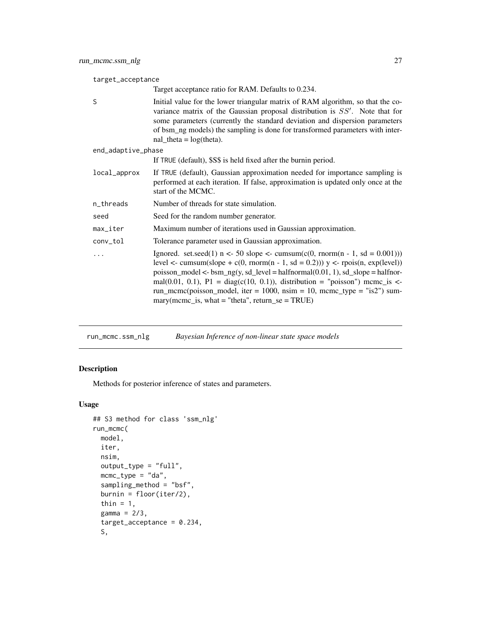<span id="page-26-0"></span>target\_acceptance

|                    | Target acceptance ratio for RAM. Defaults to 0.234.                                                                                                                                                                                                                                                                                                                                                                                                                                                         |
|--------------------|-------------------------------------------------------------------------------------------------------------------------------------------------------------------------------------------------------------------------------------------------------------------------------------------------------------------------------------------------------------------------------------------------------------------------------------------------------------------------------------------------------------|
| S                  | Initial value for the lower triangular matrix of RAM algorithm, so that the co-<br>variance matrix of the Gaussian proposal distribution is $SS'$ . Note that for<br>some parameters (currently the standard deviation and dispersion parameters<br>of bsm_ng models) the sampling is done for transformed parameters with inter-<br>$nal_{theta} = log(theta)$ .                                                                                                                                           |
| end_adaptive_phase |                                                                                                                                                                                                                                                                                                                                                                                                                                                                                                             |
|                    | If TRUE (default), \$S\$ is held fixed after the burnin period.                                                                                                                                                                                                                                                                                                                                                                                                                                             |
| local_approx       | If TRUE (default), Gaussian approximation needed for importance sampling is<br>performed at each iteration. If false, approximation is updated only once at the<br>start of the MCMC.                                                                                                                                                                                                                                                                                                                       |
| n_threads          | Number of threads for state simulation.                                                                                                                                                                                                                                                                                                                                                                                                                                                                     |
| seed               | Seed for the random number generator.                                                                                                                                                                                                                                                                                                                                                                                                                                                                       |
| max_iter           | Maximum number of iterations used in Gaussian approximation.                                                                                                                                                                                                                                                                                                                                                                                                                                                |
| conv_tol           | Tolerance parameter used in Gaussian approximation.                                                                                                                                                                                                                                                                                                                                                                                                                                                         |
|                    | Ignored. set.seed(1) $n \le 50$ slope $\le$ cumsum(c(0, rnorm(n - 1, sd = 0.001)))<br>level <- cumsum(slope + c(0, rnorm(n - 1, sd = 0.2))) $y \le$ - rpois(n, exp(level))<br>poisson_model <- $bsm_ng(y, sd_{level} = \text{halfnormal}(0.01, 1), sd_{slope} = \text{halfnor-}$<br>mal $(0.01, 0.1)$ , P1 = diag(c(10, 0.1)), distribution = "poisson") mcmc_is <-<br>run_mcmc(poisson_model, iter = 1000, nsim = 10, mcmc_type = "is2") sum-<br>$\text{mary}(m$ cmc_is, what = "theta", return_se = TRUE) |
|                    |                                                                                                                                                                                                                                                                                                                                                                                                                                                                                                             |

run\_mcmc.ssm\_nlg *Bayesian Inference of non-linear state space models*

## Description

Methods for posterior inference of states and parameters.

```
## S3 method for class 'ssm_nlg'
run_mcmc(
 model,
  iter,
 nsim,
 output_type = "full",
 mcmc_type = "da",
  sampling_method = "bsf",
 burnin = floor(iter/2),
  thin = 1,
  gamma = 2/3,
  target_acceptance = 0.234,
  S,
```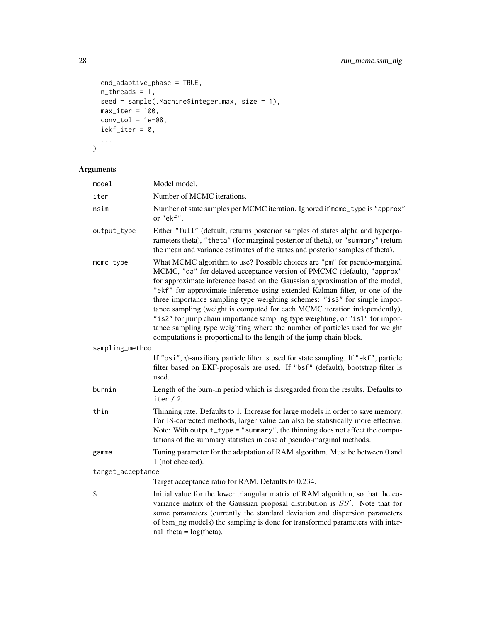```
end_adaptive_phase = TRUE,
  n_threads = 1,
 seed = sample(.Machine$integer.max, size = 1),
  max\_iter = 100,
 conv\_tol = 1e-08,
  iekf_iter = 0,
  ...
\mathcal{L}
```

| model             | Model model.                                                                                                                                                                                                                                                                                                                                                                                                                                                                                                                                                                                                                                                                                                       |
|-------------------|--------------------------------------------------------------------------------------------------------------------------------------------------------------------------------------------------------------------------------------------------------------------------------------------------------------------------------------------------------------------------------------------------------------------------------------------------------------------------------------------------------------------------------------------------------------------------------------------------------------------------------------------------------------------------------------------------------------------|
| iter              | Number of MCMC iterations.                                                                                                                                                                                                                                                                                                                                                                                                                                                                                                                                                                                                                                                                                         |
| nsim              | Number of state samples per MCMC iteration. Ignored if mcmc_type is "approx"<br>or "ekf".                                                                                                                                                                                                                                                                                                                                                                                                                                                                                                                                                                                                                          |
| output_type       | Either "full" (default, returns posterior samples of states alpha and hyperpa-<br>rameters theta), "theta" (for marginal posterior of theta), or "summary" (return<br>the mean and variance estimates of the states and posterior samples of theta).                                                                                                                                                                                                                                                                                                                                                                                                                                                               |
| mcmc_type         | What MCMC algorithm to use? Possible choices are "pm" for pseudo-marginal<br>MCMC, "da" for delayed acceptance version of PMCMC (default), "approx"<br>for approximate inference based on the Gaussian approximation of the model,<br>"ekf" for approximate inference using extended Kalman filter, or one of the<br>three importance sampling type weighting schemes: "is3" for simple impor-<br>tance sampling (weight is computed for each MCMC iteration independently),<br>"is2" for jump chain importance sampling type weighting, or "is1" for impor-<br>tance sampling type weighting where the number of particles used for weight<br>computations is proportional to the length of the jump chain block. |
| sampling_method   |                                                                                                                                                                                                                                                                                                                                                                                                                                                                                                                                                                                                                                                                                                                    |
|                   | If "psi", $\psi$ -auxiliary particle filter is used for state sampling. If "ekf", particle<br>filter based on EKF-proposals are used. If "bsf" (default), bootstrap filter is<br>used.                                                                                                                                                                                                                                                                                                                                                                                                                                                                                                                             |
| burnin            | Length of the burn-in period which is disregarded from the results. Defaults to<br>iter $/ 2$ .                                                                                                                                                                                                                                                                                                                                                                                                                                                                                                                                                                                                                    |
| thin              | Thinning rate. Defaults to 1. Increase for large models in order to save memory.<br>For IS-corrected methods, larger value can also be statistically more effective.<br>Note: With output_type = "summary", the thinning does not affect the compu-<br>tations of the summary statistics in case of pseudo-marginal methods.                                                                                                                                                                                                                                                                                                                                                                                       |
| gamma             | Tuning parameter for the adaptation of RAM algorithm. Must be between 0 and<br>1 (not checked).                                                                                                                                                                                                                                                                                                                                                                                                                                                                                                                                                                                                                    |
| target_acceptance |                                                                                                                                                                                                                                                                                                                                                                                                                                                                                                                                                                                                                                                                                                                    |
|                   | Target acceptance ratio for RAM. Defaults to 0.234.                                                                                                                                                                                                                                                                                                                                                                                                                                                                                                                                                                                                                                                                |
| S                 | Initial value for the lower triangular matrix of RAM algorithm, so that the co-<br>variance matrix of the Gaussian proposal distribution is $SS'$ . Note that for<br>some parameters (currently the standard deviation and dispersion parameters<br>of bsm_ng models) the sampling is done for transformed parameters with inter-<br>$nal\_theta = log(theta)$ .                                                                                                                                                                                                                                                                                                                                                   |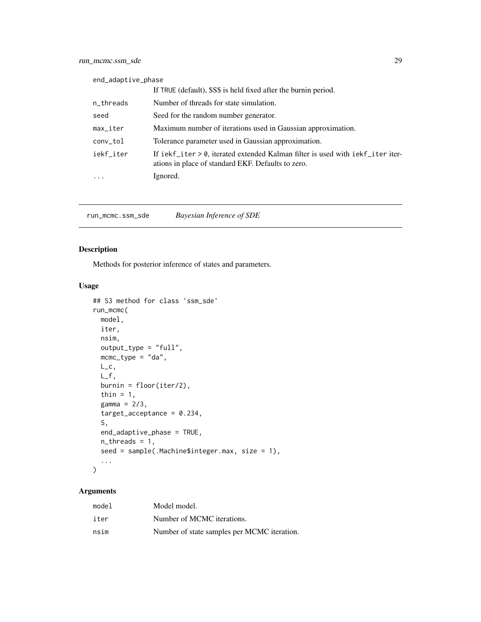<span id="page-28-0"></span>

| end_adaptive_phase        |                                                                                                                                      |
|---------------------------|--------------------------------------------------------------------------------------------------------------------------------------|
|                           | If TRUE (default), \$S\$ is held fixed after the burnin period.                                                                      |
| n_threads                 | Number of threads for state simulation.                                                                                              |
| seed                      | Seed for the random number generator.                                                                                                |
| $max$ <sub>-</sub> $iter$ | Maximum number of iterations used in Gaussian approximation.                                                                         |
| conv_tol                  | Tolerance parameter used in Gaussian approximation.                                                                                  |
| iekf_iter                 | If iekf_iter > 0, iterated extended Kalman filter is used with iekf_iter iter-<br>ations in place of standard EKF. Defaults to zero. |
|                           | Ignored.                                                                                                                             |

run\_mcmc.ssm\_sde *Bayesian Inference of SDE*

## Description

Methods for posterior inference of states and parameters.

## Usage

```
## S3 method for class 'ssm_sde'
run_mcmc(
 model,
 iter,
 nsim,
 output_type = "full",
 mcmc_type = "da",
 L_{-}c,
 L_f,
 burnin = floor(iter/2),
  thin = 1,
 gamma = 2/3,
  target_acceptance = 0.234,S,
 end_adaptive_phase = TRUE,
 n_{\text{threads}} = 1,
  seed = sample(.Machine$integer.max, size = 1),
  ...
)
```

| model | Model model.                                |
|-------|---------------------------------------------|
| iter  | Number of MCMC iterations.                  |
| nsim  | Number of state samples per MCMC iteration. |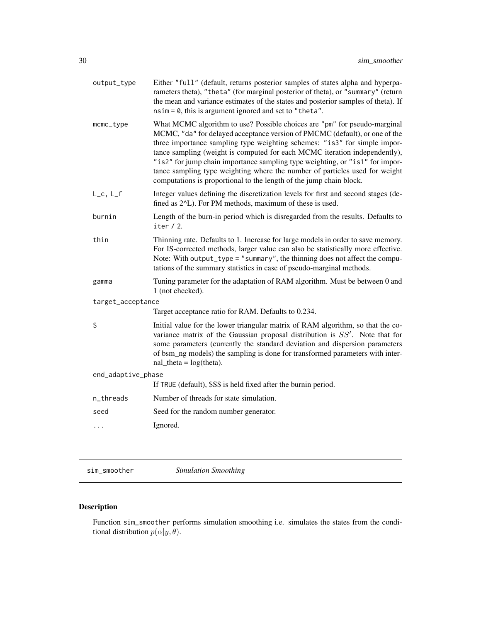<span id="page-29-0"></span>

| output_type        | Either "full" (default, returns posterior samples of states alpha and hyperpa-<br>rameters theta), "theta" (for marginal posterior of theta), or "summary" (return<br>the mean and variance estimates of the states and posterior samples of theta). If<br>$nsim = 0$ , this is argument ignored and set to "theta".                                                                                                                                                                                                                                      |
|--------------------|-----------------------------------------------------------------------------------------------------------------------------------------------------------------------------------------------------------------------------------------------------------------------------------------------------------------------------------------------------------------------------------------------------------------------------------------------------------------------------------------------------------------------------------------------------------|
| mcmc_type          | What MCMC algorithm to use? Possible choices are "pm" for pseudo-marginal<br>MCMC, "da" for delayed acceptance version of PMCMC (default), or one of the<br>three importance sampling type weighting schemes: "is3" for simple impor-<br>tance sampling (weight is computed for each MCMC iteration independently),<br>"is2" for jump chain importance sampling type weighting, or "is1" for impor-<br>tance sampling type weighting where the number of particles used for weight<br>computations is proportional to the length of the jump chain block. |
| $L_c$ , $L_f$      | Integer values defining the discretization levels for first and second stages (de-<br>fined as 2 <sup><math>\Delta</math></sup> L). For PM methods, maximum of these is used.                                                                                                                                                                                                                                                                                                                                                                             |
| burnin             | Length of the burn-in period which is disregarded from the results. Defaults to<br>iter $/2$ .                                                                                                                                                                                                                                                                                                                                                                                                                                                            |
| thin               | Thinning rate. Defaults to 1. Increase for large models in order to save memory.<br>For IS-corrected methods, larger value can also be statistically more effective.<br>Note: With output_type = "summary", the thinning does not affect the compu-<br>tations of the summary statistics in case of pseudo-marginal methods.                                                                                                                                                                                                                              |
| gamma              | Tuning parameter for the adaptation of RAM algorithm. Must be between 0 and<br>1 (not checked).                                                                                                                                                                                                                                                                                                                                                                                                                                                           |
| target_acceptance  |                                                                                                                                                                                                                                                                                                                                                                                                                                                                                                                                                           |
|                    | Target acceptance ratio for RAM. Defaults to 0.234.                                                                                                                                                                                                                                                                                                                                                                                                                                                                                                       |
| S                  | Initial value for the lower triangular matrix of RAM algorithm, so that the co-<br>variance matrix of the Gaussian proposal distribution is $SS'$ . Note that for<br>some parameters (currently the standard deviation and dispersion parameters<br>of bsm_ng models) the sampling is done for transformed parameters with inter-<br>$nal_{theta} = log(theta).$                                                                                                                                                                                          |
| end_adaptive_phase |                                                                                                                                                                                                                                                                                                                                                                                                                                                                                                                                                           |
|                    | If TRUE (default), \$S\$ is held fixed after the burnin period.                                                                                                                                                                                                                                                                                                                                                                                                                                                                                           |
| n_threads          | Number of threads for state simulation.                                                                                                                                                                                                                                                                                                                                                                                                                                                                                                                   |
| seed               | Seed for the random number generator.                                                                                                                                                                                                                                                                                                                                                                                                                                                                                                                     |
| .                  | Ignored.                                                                                                                                                                                                                                                                                                                                                                                                                                                                                                                                                  |
|                    |                                                                                                                                                                                                                                                                                                                                                                                                                                                                                                                                                           |

sim\_smoother *Simulation Smoothing*

## Description

Function sim\_smoother performs simulation smoothing i.e. simulates the states from the conditional distribution  $p(\alpha|y, \theta)$ .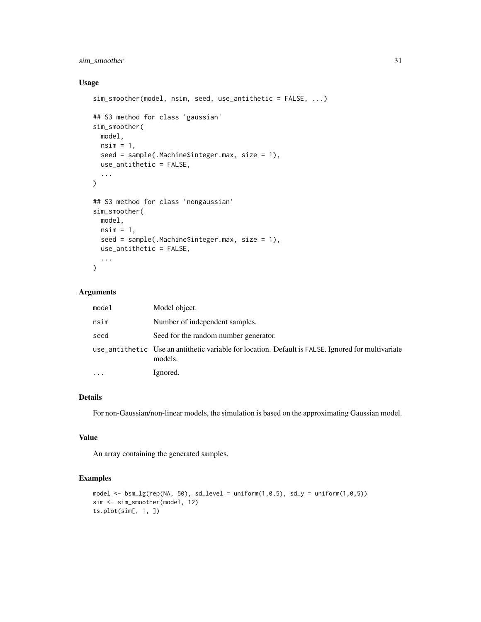## sim\_smoother 31

## Usage

```
sim_smoother(model, nsim, seed, use_antithetic = FALSE, ...)
## S3 method for class 'gaussian'
sim_smoother(
 model,
 nsim = 1,
  seed = sample(.Machine$integer.max, size = 1),
 use_antithetic = FALSE,
  ...
\mathcal{L}## S3 method for class 'nongaussian'
sim_smoother(
 model,
 nsim = 1,
  seed = sample(.Machine$integer.max, size = 1),
 use_antithetic = FALSE,
  ...
\mathcal{L}
```
## Arguments

| model | Model object.                                                                                                 |
|-------|---------------------------------------------------------------------------------------------------------------|
| nsim  | Number of independent samples.                                                                                |
| seed  | Seed for the random number generator.                                                                         |
|       | use_antithetic Use an antithetic variable for location. Default is FALSE. Ignored for multivariate<br>models. |
|       | Ignored.                                                                                                      |

## Details

For non-Gaussian/non-linear models, the simulation is based on the approximating Gaussian model.

## Value

An array containing the generated samples.

#### Examples

```
model \leq bsm_lg(rep(NA, 50), sd_level = uniform(1,0,5), sd_y = uniform(1,0,5))
sim <- sim_smoother(model, 12)
ts.plot(sim[, 1, ])
```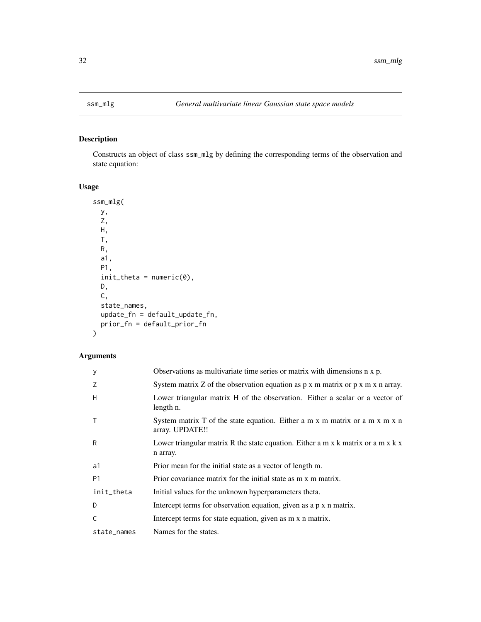<span id="page-31-0"></span>

## Description

Constructs an object of class ssm\_mlg by defining the corresponding terms of the observation and state equation:

## Usage

```
ssm_mlg(
 y,
 Z,
 H,
 T,
 R,
  a1,
 P1,
  init_{theta} = numeric(0),
 D,
 C,
 state_names,
 update_fn = default_update_fn,
 prior_fn = default_prior_fn
\overline{\phantom{a}}
```

| y              | Observations as multivariate time series or matrix with dimensions n x p.                             |
|----------------|-------------------------------------------------------------------------------------------------------|
| 7              | System matrix Z of the observation equation as $p \times m$ matrix or $p \times m \times n$ array.    |
| H              | Lower triangular matrix H of the observation. Either a scalar or a vector of<br>length n.             |
| $\mathsf{T}$   | System matrix T of the state equation. Either a m x m matrix or a m x m x n<br>array. UPDATE!!        |
| R              | Lower triangular matrix R the state equation. Either a m x k matrix or a m x $k \times n$<br>n array. |
| a1             | Prior mean for the initial state as a vector of length m.                                             |
| P <sub>1</sub> | Prior covariance matrix for the initial state as m x m matrix.                                        |
| init_theta     | Initial values for the unknown hyperparameters theta.                                                 |
| D              | Intercept terms for observation equation, given as a p x n matrix.                                    |
| C              | Intercept terms for state equation, given as m x n matrix.                                            |
| state_names    | Names for the states.                                                                                 |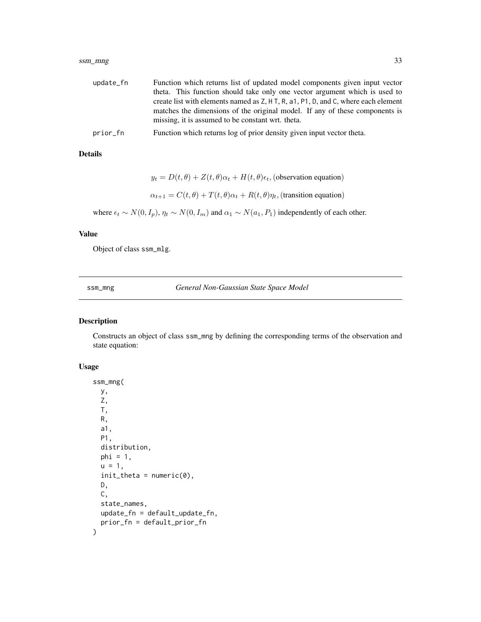#### <span id="page-32-0"></span>ssm\_mng 33

| update_fn | Function which returns list of updated model components given input vector         |
|-----------|------------------------------------------------------------------------------------|
|           | theta. This function should take only one vector argument which is used to         |
|           | create list with elements named as Z, H T, R, a1, P1, D, and C, where each element |
|           | matches the dimensions of the original model. If any of these components is        |
|           | missing, it is assumed to be constant wrt. theta.                                  |
| prior_fn  | Function which returns log of prior density given input vector theta.              |

#### Details

 $y_t = D(t, \theta) + Z(t, \theta)\alpha_t + H(t, \theta)\epsilon_t$ , (observation equation)  $\alpha_{t+1} = C(t, \theta) + T(t, \theta)\alpha_t + R(t, \theta)\eta_t$ , (transition equation)

where  $\epsilon_t \sim N(0, I_p)$ ,  $\eta_t \sim N(0, I_m)$  and  $\alpha_1 \sim N(a_1, P_1)$  independently of each other.

#### Value

Object of class ssm\_mlg.

ssm\_mng *General Non-Gaussian State Space Model*

#### Description

Constructs an object of class ssm\_mng by defining the corresponding terms of the observation and state equation:

```
ssm_mng(
 y,
  Z,
 T,
 R,
  a1,
 P1,
  distribution,
 phi = 1,
  u = 1,
  init_{theta = numeric(0),D,
 C,
  state_names,
  update_fn = default_update_fn,
  prior_fn = default_prior_fn
\mathcal{E}
```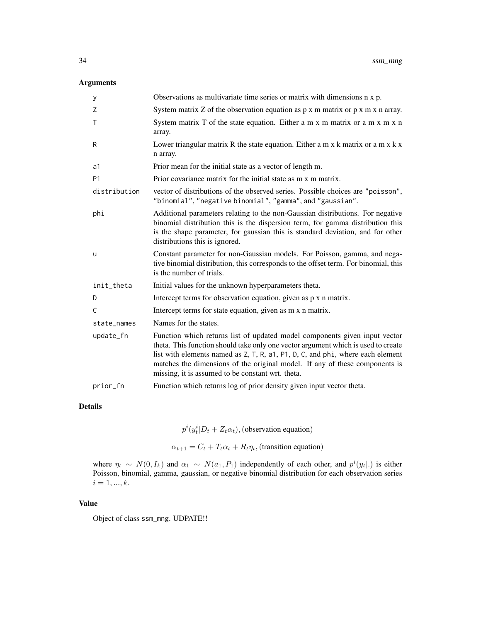## Arguments

| у              | Observations as multivariate time series or matrix with dimensions n x p.                                                                                                                                                                                                                                                                                                             |
|----------------|---------------------------------------------------------------------------------------------------------------------------------------------------------------------------------------------------------------------------------------------------------------------------------------------------------------------------------------------------------------------------------------|
| Z              | System matrix $Z$ of the observation equation as $p \times m$ matrix or $p \times m \times n$ array.                                                                                                                                                                                                                                                                                  |
| $\mathsf{T}$   | System matrix T of the state equation. Either a m x m matrix or a m x m x n<br>array.                                                                                                                                                                                                                                                                                                 |
| R              | Lower triangular matrix R the state equation. Either a m $x$ k matrix or a m $x$ k $x$<br>n array.                                                                                                                                                                                                                                                                                    |
| a1             | Prior mean for the initial state as a vector of length m.                                                                                                                                                                                                                                                                                                                             |
| P <sub>1</sub> | Prior covariance matrix for the initial state as m x m matrix.                                                                                                                                                                                                                                                                                                                        |
| distribution   | vector of distributions of the observed series. Possible choices are "poisson",<br>"binomial", "negative binomial", "gamma", and "gaussian".                                                                                                                                                                                                                                          |
| phi            | Additional parameters relating to the non-Gaussian distributions. For negative<br>binomial distribution this is the dispersion term, for gamma distribution this<br>is the shape parameter, for gaussian this is standard deviation, and for other<br>distributions this is ignored.                                                                                                  |
| u              | Constant parameter for non-Gaussian models. For Poisson, gamma, and nega-<br>tive binomial distribution, this corresponds to the offset term. For binomial, this<br>is the number of trials.                                                                                                                                                                                          |
| init_theta     | Initial values for the unknown hyperparameters theta.                                                                                                                                                                                                                                                                                                                                 |
| D              | Intercept terms for observation equation, given as p x n matrix.                                                                                                                                                                                                                                                                                                                      |
| C              | Intercept terms for state equation, given as m x n matrix.                                                                                                                                                                                                                                                                                                                            |
| state_names    | Names for the states.                                                                                                                                                                                                                                                                                                                                                                 |
| update_fn      | Function which returns list of updated model components given input vector<br>theta. This function should take only one vector argument which is used to create<br>list with elements named as Z, T, R, a1, P1, D, C, and phi, where each element<br>matches the dimensions of the original model. If any of these components is<br>missing, it is assumed to be constant wrt. theta. |
| prior_fn       | Function which returns log of prior density given input vector theta.                                                                                                                                                                                                                                                                                                                 |

## Details

 $p^{i}(y_t^i|D_t + Z_t \alpha_t)$ , (observation equation)

 $\alpha_{t+1} = C_t + T_t \alpha_t + R_t \eta_t$ , (transition equation)

where  $\eta_t \sim N(0, I_k)$  and  $\alpha_1 \sim N(a_1, P_1)$  independently of each other, and  $p^{i}(y_t |.)$  is either Poisson, binomial, gamma, gaussian, or negative binomial distribution for each observation series  $i = 1, ..., k.$ 

#### Value

Object of class ssm\_mng. UDPATE!!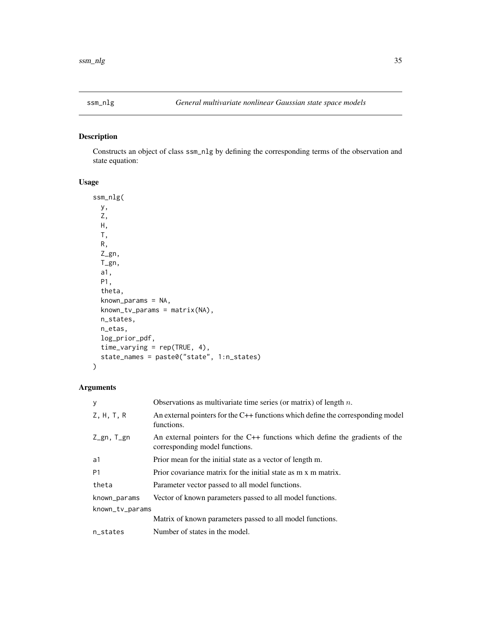<span id="page-34-0"></span>

## Description

Constructs an object of class ssm\_nlg by defining the corresponding terms of the observation and state equation:

## Usage

```
ssm_nlg(
 y,
 Z,
 H,
 T,
 R,
 Z_gn,
 T_gn,
  a1,
 P1,
  theta,
 known_params = NA,
 known_tv_params = matrix(NA),
 n_states,
 n_etas,
 log_prior_pdf,
  time_varying = rep(TRUE, 4),
  state_names = paste0("state", 1:n_states)
)
```

| У               | Observations as multivariate time series (or matrix) of length $n$ .                                             |
|-----------------|------------------------------------------------------------------------------------------------------------------|
| Z, H, T, R      | An external pointers for the $C++$ functions which define the corresponding model<br>functions.                  |
| Z_gn, T_gn      | An external pointers for the $C++$ functions which define the gradients of the<br>corresponding model functions. |
| a1              | Prior mean for the initial state as a vector of length m.                                                        |
| P <sub>1</sub>  | Prior covariance matrix for the initial state as m x m matrix.                                                   |
| theta           | Parameter vector passed to all model functions.                                                                  |
| known_params    | Vector of known parameters passed to all model functions.                                                        |
| known_tv_params |                                                                                                                  |
|                 | Matrix of known parameters passed to all model functions.                                                        |
| n_states        | Number of states in the model.                                                                                   |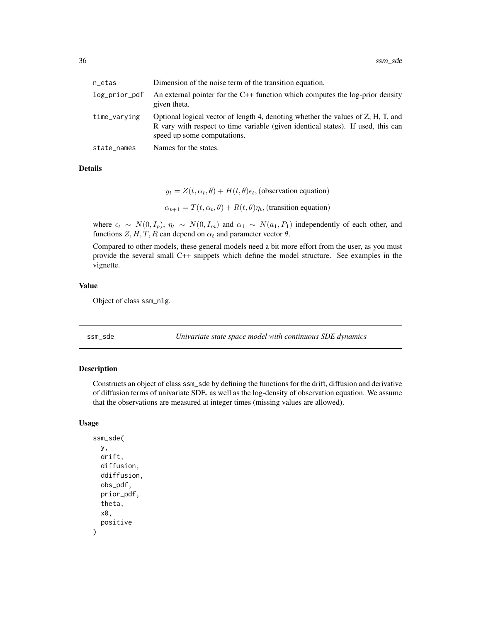<span id="page-35-0"></span>

| n_etas        | Dimension of the noise term of the transition equation.                                                                                                                                             |
|---------------|-----------------------------------------------------------------------------------------------------------------------------------------------------------------------------------------------------|
| log_prior_pdf | An external pointer for the $C++$ function which computes the log-prior density<br>given theta.                                                                                                     |
| time_varying  | Optional logical vector of length 4, denoting whether the values of Z, H, T, and<br>R vary with respect to time variable (given identical states). If used, this can<br>speed up some computations. |
| state_names   | Names for the states.                                                                                                                                                                               |

## Details

 $y_t = Z(t, \alpha_t, \theta) + H(t, \theta)\epsilon_t$ , (observation equation)  $\alpha_{t+1} = T(t, \alpha_t, \theta) + R(t, \theta) \eta_t$ , (transition equation)

where  $\epsilon_t \sim N(0, I_p)$ ,  $\eta_t \sim N(0, I_m)$  and  $\alpha_1 \sim N(a_1, P_1)$  independently of each other, and functions Z, H, T, R can depend on  $\alpha_t$  and parameter vector  $\theta$ .

Compared to other models, these general models need a bit more effort from the user, as you must provide the several small C++ snippets which define the model structure. See examples in the vignette.

#### Value

Object of class ssm\_nlg.

ssm\_sde *Univariate state space model with continuous SDE dynamics*

#### Description

Constructs an object of class ssm\_sde by defining the functions for the drift, diffusion and derivative of diffusion terms of univariate SDE, as well as the log-density of observation equation. We assume that the observations are measured at integer times (missing values are allowed).

```
ssm_sde(
 y,
  drift,
  diffusion,
  ddiffusion,
  obs_pdf,
  prior_pdf,
  theta,
  x0,
  positive
)
```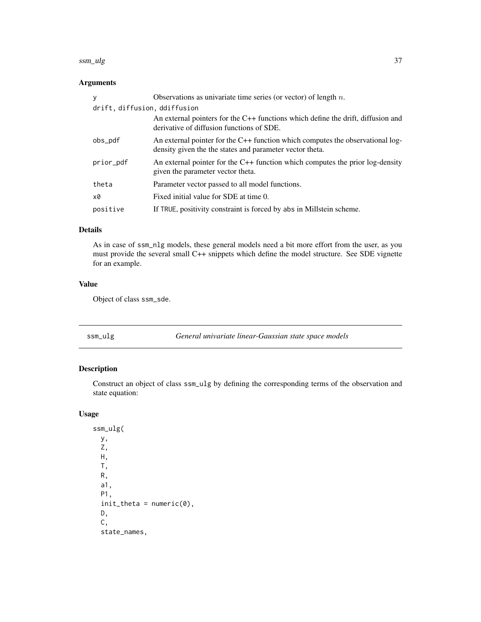#### <span id="page-36-0"></span>ssm\_ulg 37

## Arguments

| y                            | Observations as univariate time series (or vector) of length $n$ .                                                                         |
|------------------------------|--------------------------------------------------------------------------------------------------------------------------------------------|
| drift, diffusion, ddiffusion |                                                                                                                                            |
|                              | An external pointers for the $C++$ functions which define the drift, diffusion and<br>derivative of diffusion functions of SDE.            |
| obs_pdf                      | An external pointer for the C++ function which computes the observational log-<br>density given the the states and parameter vector theta. |
| prior_pdf                    | An external pointer for the $C++$ function which computes the prior log-density<br>given the parameter vector theta.                       |
| theta                        | Parameter vector passed to all model functions.                                                                                            |
| x0                           | Fixed initial value for SDE at time 0.                                                                                                     |
| positive                     | If TRUE, positivity constraint is forced by abs in Millstein scheme.                                                                       |

#### Details

As in case of ssm\_nlg models, these general models need a bit more effort from the user, as you must provide the several small C++ snippets which define the model structure. See SDE vignette for an example.

## Value

Object of class ssm\_sde.

ssm\_ulg *General univariate linear-Gaussian state space models*

## Description

Construct an object of class ssm\_ulg by defining the corresponding terms of the observation and state equation:

## Usage

ssm\_ulg( y, Z, H, T, R, a1, P1,  $init_{theta} = numeric(0)$ , D, C, state\_names,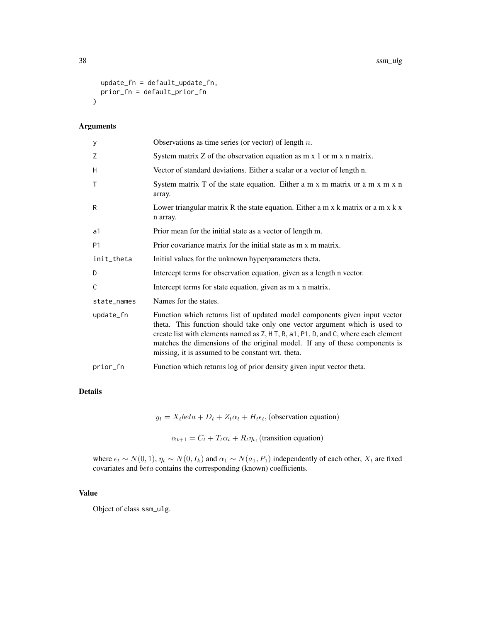```
update_fn = default_update_fn,
 prior_fn = default_prior_fn
\mathcal{L}
```
## Arguments

| у              | Observations as time series (or vector) of length $n$ .                                                                                                                                                                                                                                                                                                                            |
|----------------|------------------------------------------------------------------------------------------------------------------------------------------------------------------------------------------------------------------------------------------------------------------------------------------------------------------------------------------------------------------------------------|
| Z              | System matrix $Z$ of the observation equation as $m \times 1$ or $m \times n$ matrix.                                                                                                                                                                                                                                                                                              |
| Н              | Vector of standard deviations. Either a scalar or a vector of length n.                                                                                                                                                                                                                                                                                                            |
| $\mathsf{T}$   | System matrix T of the state equation. Either a m x m matrix or a m x m x n<br>array.                                                                                                                                                                                                                                                                                              |
| R              | Lower triangular matrix R the state equation. Either a m x $k$ matrix or a m x $k$ x<br>n array.                                                                                                                                                                                                                                                                                   |
| a1             | Prior mean for the initial state as a vector of length m.                                                                                                                                                                                                                                                                                                                          |
| P <sub>1</sub> | Prior covariance matrix for the initial state as m x m matrix.                                                                                                                                                                                                                                                                                                                     |
| init_theta     | Initial values for the unknown hyperparameters theta.                                                                                                                                                                                                                                                                                                                              |
| D              | Intercept terms for observation equation, given as a length n vector.                                                                                                                                                                                                                                                                                                              |
| C              | Intercept terms for state equation, given as m x n matrix.                                                                                                                                                                                                                                                                                                                         |
| state_names    | Names for the states.                                                                                                                                                                                                                                                                                                                                                              |
| update_fn      | Function which returns list of updated model components given input vector<br>theta. This function should take only one vector argument which is used to<br>create list with elements named as Z, H T, R, a1, P1, D, and C, where each element<br>matches the dimensions of the original model. If any of these components is<br>missing, it is assumed to be constant wrt. theta. |
| prior_fn       | Function which returns log of prior density given input vector theta.                                                                                                                                                                                                                                                                                                              |

## Details

 $y_t = X_t \cdot \text{beta} + D_t + Z_t \cdot \alpha_t + H_t \cdot \epsilon_t$ , (observation equation)

 $\alpha_{t+1} = C_t + T_t \alpha_t + R_t \eta_t$ , (transition equation)

where  $\epsilon_t \sim N(0, 1)$ ,  $\eta_t \sim N(0, I_k)$  and  $\alpha_1 \sim N(a_1, P_1)$  independently of each other,  $X_t$  are fixed covariates and beta contains the corresponding (known) coefficients.

## Value

Object of class ssm\_ulg.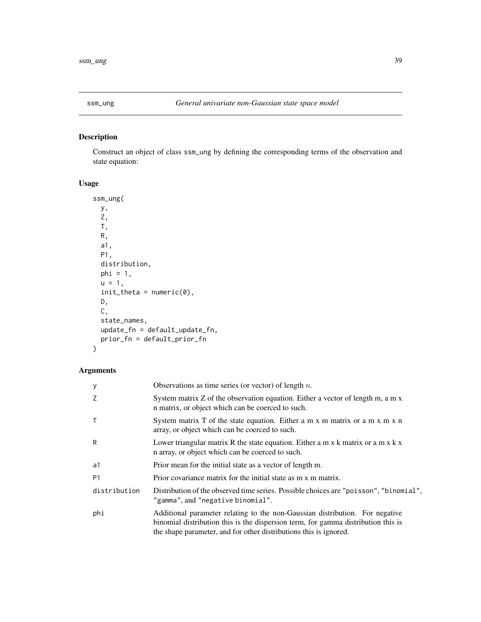<span id="page-38-0"></span>

## Description

Construct an object of class ssm\_ung by defining the corresponding terms of the observation and state equation:

## Usage

```
ssm_ung(
 y,
 Z,
 T,
 R,
 a1,
 P1,
 distribution,
 phi = 1,
 u = 1,init_{theta} = numeric(0),
 D,
 C,
 state_names,
 update_fn = default_update_fn,
 prior_fn = default_prior_fn
)
```

| y              | Observations as time series (or vector) of length $n$ .                                                                                                                                                                                |
|----------------|----------------------------------------------------------------------------------------------------------------------------------------------------------------------------------------------------------------------------------------|
| Z              | System matrix Z of the observation equation. Either a vector of length m, a m x<br>n matrix, or object which can be coerced to such.                                                                                                   |
| $\top$         | System matrix T of the state equation. Either a m x m matrix or a m x m x n<br>array, or object which can be coerced to such.                                                                                                          |
| R              | Lower triangular matrix R the state equation. Either a m x $k$ matrix or a m x $k$ x<br>n array, or object which can be coerced to such.                                                                                               |
| a1             | Prior mean for the initial state as a vector of length m.                                                                                                                                                                              |
| P <sub>1</sub> | Prior covariance matrix for the initial state as m x m matrix.                                                                                                                                                                         |
| distribution   | Distribution of the observed time series. Possible choices are "poisson", "binomial",<br>"gamma", and "negative binomial".                                                                                                             |
| phi            | Additional parameter relating to the non-Gaussian distribution. For negative<br>binomial distribution this is the dispersion term, for gamma distribution this is<br>the shape parameter, and for other distributions this is ignored. |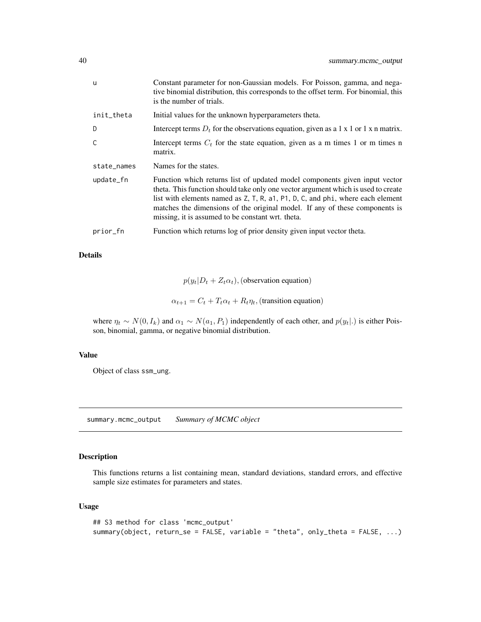<span id="page-39-0"></span>

| u           | Constant parameter for non-Gaussian models. For Poisson, gamma, and nega-<br>tive binomial distribution, this corresponds to the offset term. For binomial, this<br>is the number of trials.                                                                                                                                                                                          |
|-------------|---------------------------------------------------------------------------------------------------------------------------------------------------------------------------------------------------------------------------------------------------------------------------------------------------------------------------------------------------------------------------------------|
| init_theta  | Initial values for the unknown hyperparameters theta.                                                                                                                                                                                                                                                                                                                                 |
| D           | Intercept terms $D_t$ for the observations equation, given as a 1 x 1 or 1 x n matrix.                                                                                                                                                                                                                                                                                                |
| C           | Intercept terms $C_t$ for the state equation, given as a m times 1 or m times n<br>matrix.                                                                                                                                                                                                                                                                                            |
| state_names | Names for the states.                                                                                                                                                                                                                                                                                                                                                                 |
| update_fn   | Function which returns list of updated model components given input vector<br>theta. This function should take only one vector argument which is used to create<br>list with elements named as Z, T, R, a1, P1, D, C, and phi, where each element<br>matches the dimensions of the original model. If any of these components is<br>missing, it is assumed to be constant wrt. theta. |
| prior_fn    | Function which returns log of prior density given input vector theta.                                                                                                                                                                                                                                                                                                                 |

## Details

 $p(y_t|D_t + Z_t\alpha_t)$ , (observation equation)

 $\alpha_{t+1} = C_t + T_t \alpha_t + R_t \eta_t$ , (transition equation)

where  $\eta_t \sim N(0, I_k)$  and  $\alpha_1 \sim N(a_1, P_1)$  independently of each other, and  $p(y_t|.)$  is either Poisson, binomial, gamma, or negative binomial distribution.

#### Value

Object of class ssm\_ung.

summary.mcmc\_output *Summary of MCMC object*

## Description

This functions returns a list containing mean, standard deviations, standard errors, and effective sample size estimates for parameters and states.

```
## S3 method for class 'mcmc_output'
summary(object, return_se = FALSE, variable = "theta", only_theta = FALSE, ...)
```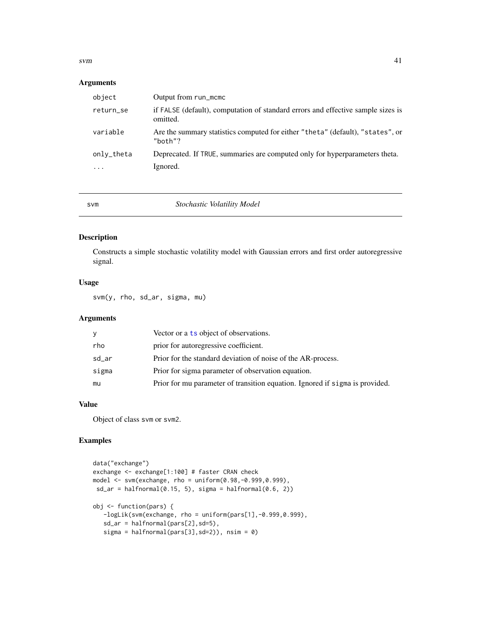#### <span id="page-40-0"></span> $svm$  41

## Arguments

| object                                | Output from run_mcmc                                                                         |
|---------------------------------------|----------------------------------------------------------------------------------------------|
| return_se                             | if FALSE (default), computation of standard errors and effective sample sizes is<br>omitted. |
| variable                              | Are the summary statistics computed for either "theta" (default), "states", or<br>" $both"?$ |
| only_theta<br>$\cdot$ $\cdot$ $\cdot$ | Deprecated. If TRUE, summaries are computed only for hyperparameters theta.<br>Ignored.      |

#### svm *Stochastic Volatility Model*

## Description

Constructs a simple stochastic volatility model with Gaussian errors and first order autoregressive signal.

## Usage

svm(y, rho, sd\_ar, sigma, mu)

#### Arguments

| y     | Vector or a ts object of observations.                                       |
|-------|------------------------------------------------------------------------------|
| rho   | prior for autoregressive coefficient.                                        |
| sd_ar | Prior for the standard deviation of noise of the AR-process.                 |
| sigma | Prior for sigma parameter of observation equation.                           |
| mu    | Prior for mu parameter of transition equation. Ignored if sigma is provided. |
|       |                                                                              |

#### Value

Object of class svm or svm2.

## Examples

```
data("exchange")
exchange <- exchange[1:100] # faster CRAN check
model <- svm(exchange, rho = uniform(0.98,-0.999,0.999),
 sd_{ar} = halfnormal(0.15, 5), sigma = halfnormal(0.6, 2))
obj <- function(pars) {
  -logLik(svm(exchange, rho = uniform(pars[1],-0.999,0.999),
   sd_ar = halfnormal(pars[2],sd=5),
   sigma = halfnormal(pars[3], sd=2)), nsim = 0)
```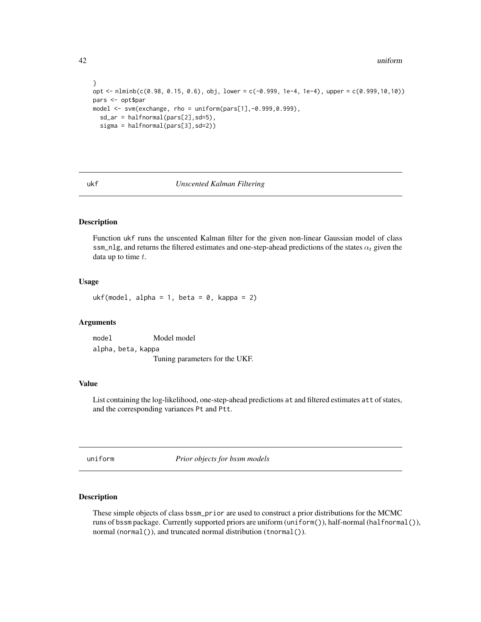} opt <- nlminb(c(0.98, 0.15, 0.6), obj, lower = c(-0.999, 1e-4, 1e-4), upper = c(0.999,10,10)) pars <- opt\$par model <- svm(exchange, rho = uniform(pars[1],-0.999,0.999), sd\_ar = halfnormal(pars[2],sd=5), sigma = halfnormal(pars[3],sd=2))

#### ukf *Unscented Kalman Filtering*

#### Description

Function ukf runs the unscented Kalman filter for the given non-linear Gaussian model of class ssm\_nlg, and returns the filtered estimates and one-step-ahead predictions of the states  $\alpha_t$  given the data up to time  $t$ .

#### Usage

ukf(model, alpha = 1, beta =  $\theta$ , kappa = 2)

#### **Arguments**

model Model model alpha, beta, kappa Tuning parameters for the UKF.

#### Value

List containing the log-likelihood, one-step-ahead predictions at and filtered estimates att of states, and the corresponding variances Pt and Ptt.

<span id="page-41-1"></span>uniform *Prior objects for bssm models*

#### Description

These simple objects of class bssm\_prior are used to construct a prior distributions for the MCMC runs of bssm package. Currently supported priors are uniform (uniform()), half-normal (halfnormal()), normal (normal()), and truncated normal distribution (tnormal()).

<span id="page-41-0"></span>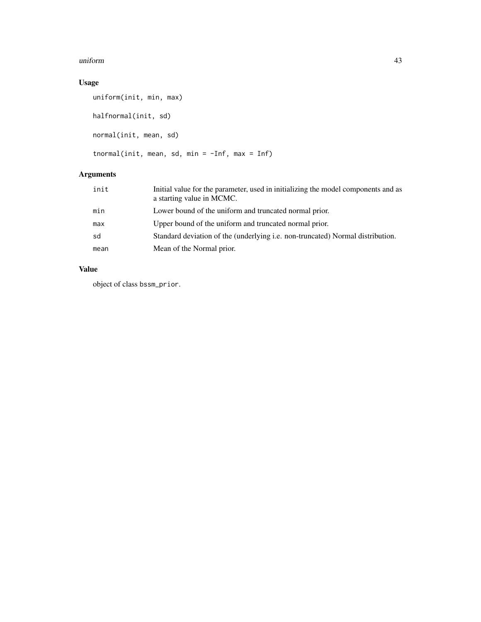#### uniform 43

## Usage

```
uniform(init, min, max)
halfnormal(init, sd)
normal(init, mean, sd)
tnormal(init, mean, sd, min = -Inf, max = Inf)
```
## Arguments

| init | Initial value for the parameter, used in initializing the model components and as<br>a starting value in MCMC. |
|------|----------------------------------------------------------------------------------------------------------------|
| min  | Lower bound of the uniform and truncated normal prior.                                                         |
| max  | Upper bound of the uniform and truncated normal prior.                                                         |
| sd   | Standard deviation of the (underlying i.e. non-truncated) Normal distribution.                                 |
| mean | Mean of the Normal prior.                                                                                      |

## Value

object of class bssm\_prior.